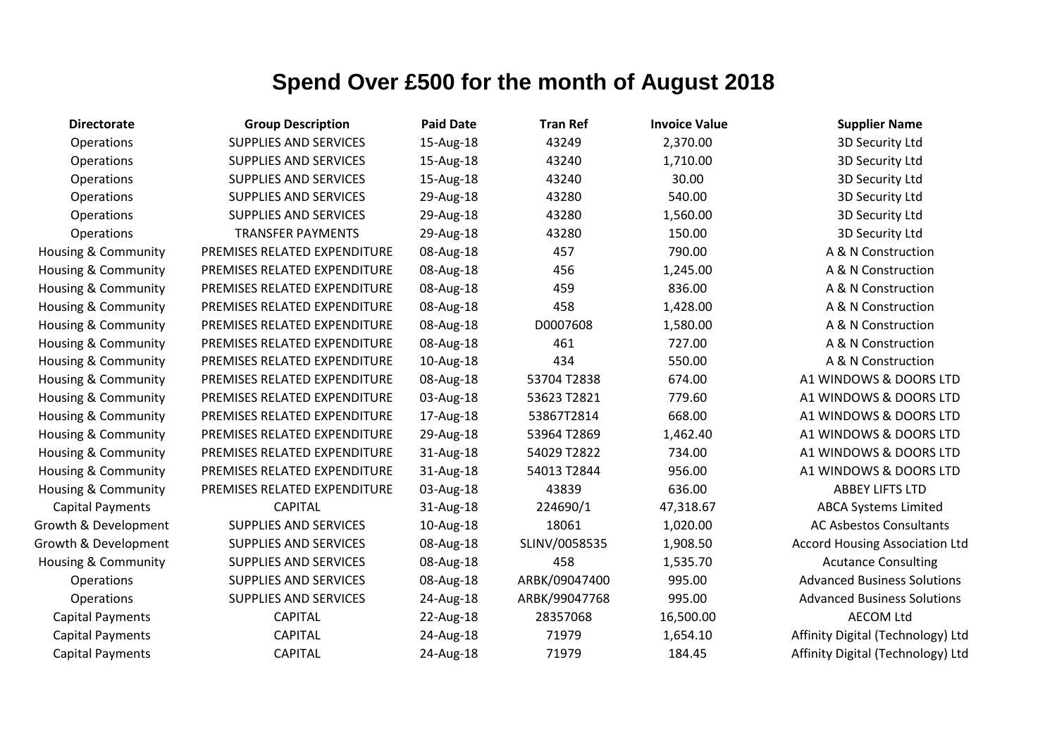| <b>Directorate</b>             | <b>Group Description</b>     | <b>Paid Date</b> | <b>Tran Ref</b> | <b>Invoice Value</b> | <b>Supplier Name</b>                  |
|--------------------------------|------------------------------|------------------|-----------------|----------------------|---------------------------------------|
| Operations                     | <b>SUPPLIES AND SERVICES</b> | 15-Aug-18        | 43249           | 2,370.00             | 3D Security Ltd                       |
| Operations                     | <b>SUPPLIES AND SERVICES</b> | 15-Aug-18        | 43240           | 1,710.00             | 3D Security Ltd                       |
| Operations                     | <b>SUPPLIES AND SERVICES</b> | 15-Aug-18        | 43240           | 30.00                | 3D Security Ltd                       |
| Operations                     | <b>SUPPLIES AND SERVICES</b> | 29-Aug-18        | 43280           | 540.00               | 3D Security Ltd                       |
| Operations                     | <b>SUPPLIES AND SERVICES</b> | 29-Aug-18        | 43280           | 1,560.00             | 3D Security Ltd                       |
| <b>Operations</b>              | <b>TRANSFER PAYMENTS</b>     | 29-Aug-18        | 43280           | 150.00               | 3D Security Ltd                       |
| Housing & Community            | PREMISES RELATED EXPENDITURE | 08-Aug-18        | 457             | 790.00               | A & N Construction                    |
| Housing & Community            | PREMISES RELATED EXPENDITURE | 08-Aug-18        | 456             | 1,245.00             | A & N Construction                    |
| <b>Housing &amp; Community</b> | PREMISES RELATED EXPENDITURE | 08-Aug-18        | 459             | 836.00               | A & N Construction                    |
| <b>Housing &amp; Community</b> | PREMISES RELATED EXPENDITURE | 08-Aug-18        | 458             | 1,428.00             | A & N Construction                    |
| Housing & Community            | PREMISES RELATED EXPENDITURE | 08-Aug-18        | D0007608        | 1,580.00             | A & N Construction                    |
| Housing & Community            | PREMISES RELATED EXPENDITURE | 08-Aug-18        | 461             | 727.00               | A & N Construction                    |
| <b>Housing &amp; Community</b> | PREMISES RELATED EXPENDITURE | 10-Aug-18        | 434             | 550.00               | A & N Construction                    |
| <b>Housing &amp; Community</b> | PREMISES RELATED EXPENDITURE | 08-Aug-18        | 53704 T2838     | 674.00               | A1 WINDOWS & DOORS LTD                |
| Housing & Community            | PREMISES RELATED EXPENDITURE | 03-Aug-18        | 53623 T2821     | 779.60               | A1 WINDOWS & DOORS LTD                |
| Housing & Community            | PREMISES RELATED EXPENDITURE | 17-Aug-18        | 53867T2814      | 668.00               | A1 WINDOWS & DOORS LTD                |
| <b>Housing &amp; Community</b> | PREMISES RELATED EXPENDITURE | 29-Aug-18        | 53964 T2869     | 1,462.40             | A1 WINDOWS & DOORS LTD                |
| <b>Housing &amp; Community</b> | PREMISES RELATED EXPENDITURE | 31-Aug-18        | 54029 T2822     | 734.00               | A1 WINDOWS & DOORS LTD                |
| Housing & Community            | PREMISES RELATED EXPENDITURE | 31-Aug-18        | 54013 T2844     | 956.00               | A1 WINDOWS & DOORS LTD                |
| Housing & Community            | PREMISES RELATED EXPENDITURE | 03-Aug-18        | 43839           | 636.00               | <b>ABBEY LIFTS LTD</b>                |
| <b>Capital Payments</b>        | <b>CAPITAL</b>               | 31-Aug-18        | 224690/1        | 47,318.67            | <b>ABCA Systems Limited</b>           |
| Growth & Development           | <b>SUPPLIES AND SERVICES</b> | 10-Aug-18        | 18061           | 1,020.00             | <b>AC Asbestos Consultants</b>        |
| Growth & Development           | <b>SUPPLIES AND SERVICES</b> | 08-Aug-18        | SLINV/0058535   | 1,908.50             | <b>Accord Housing Association Ltd</b> |
| <b>Housing &amp; Community</b> | <b>SUPPLIES AND SERVICES</b> | 08-Aug-18        | 458             | 1,535.70             | <b>Acutance Consulting</b>            |
| Operations                     | <b>SUPPLIES AND SERVICES</b> | 08-Aug-18        | ARBK/09047400   | 995.00               | <b>Advanced Business Solutions</b>    |
| Operations                     | <b>SUPPLIES AND SERVICES</b> | 24-Aug-18        | ARBK/99047768   | 995.00               | <b>Advanced Business Solutions</b>    |
| <b>Capital Payments</b>        | <b>CAPITAL</b>               | 22-Aug-18        | 28357068        | 16,500.00            | <b>AECOM Ltd</b>                      |
| <b>Capital Payments</b>        | <b>CAPITAL</b>               | 24-Aug-18        | 71979           | 1,654.10             | Affinity Digital (Technology) Ltd     |
| <b>Capital Payments</b>        | <b>CAPITAL</b>               | 24-Aug-18        | 71979           | 184.45               | Affinity Digital (Technology) Ltd     |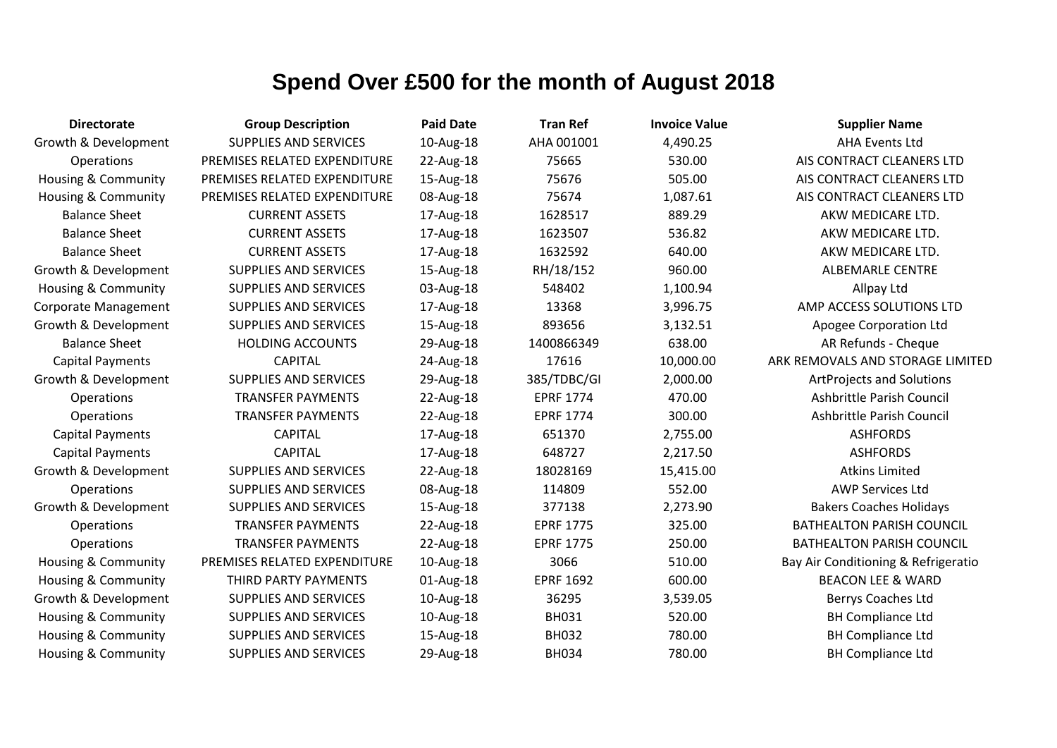| <b>Directorate</b>             | <b>Group Description</b>     | <b>Paid Date</b> | <b>Tran Ref</b>  | <b>Invoice Value</b> | <b>Supplier Name</b>                |
|--------------------------------|------------------------------|------------------|------------------|----------------------|-------------------------------------|
| Growth & Development           | <b>SUPPLIES AND SERVICES</b> | 10-Aug-18        | AHA 001001       | 4,490.25             | <b>AHA Events Ltd</b>               |
| Operations                     | PREMISES RELATED EXPENDITURE | 22-Aug-18        | 75665            | 530.00               | AIS CONTRACT CLEANERS LTD           |
| <b>Housing &amp; Community</b> | PREMISES RELATED EXPENDITURE | 15-Aug-18        | 75676            | 505.00               | AIS CONTRACT CLEANERS LTD           |
| <b>Housing &amp; Community</b> | PREMISES RELATED EXPENDITURE | 08-Aug-18        | 75674            | 1,087.61             | AIS CONTRACT CLEANERS LTD           |
| <b>Balance Sheet</b>           | <b>CURRENT ASSETS</b>        | 17-Aug-18        | 1628517          | 889.29               | AKW MEDICARE LTD.                   |
| <b>Balance Sheet</b>           | <b>CURRENT ASSETS</b>        | 17-Aug-18        | 1623507          | 536.82               | AKW MEDICARE LTD.                   |
| <b>Balance Sheet</b>           | <b>CURRENT ASSETS</b>        | 17-Aug-18        | 1632592          | 640.00               | AKW MEDICARE LTD.                   |
| Growth & Development           | <b>SUPPLIES AND SERVICES</b> | 15-Aug-18        | RH/18/152        | 960.00               | <b>ALBEMARLE CENTRE</b>             |
| <b>Housing &amp; Community</b> | <b>SUPPLIES AND SERVICES</b> | 03-Aug-18        | 548402           | 1,100.94             | Allpay Ltd                          |
| <b>Corporate Management</b>    | <b>SUPPLIES AND SERVICES</b> | 17-Aug-18        | 13368            | 3,996.75             | AMP ACCESS SOLUTIONS LTD            |
| Growth & Development           | SUPPLIES AND SERVICES        | 15-Aug-18        | 893656           | 3,132.51             | Apogee Corporation Ltd              |
| <b>Balance Sheet</b>           | <b>HOLDING ACCOUNTS</b>      | 29-Aug-18        | 1400866349       | 638.00               | AR Refunds - Cheque                 |
| <b>Capital Payments</b>        | <b>CAPITAL</b>               | 24-Aug-18        | 17616            | 10,000.00            | ARK REMOVALS AND STORAGE LIMITED    |
| Growth & Development           | <b>SUPPLIES AND SERVICES</b> | 29-Aug-18        | 385/TDBC/GI      | 2,000.00             | <b>ArtProjects and Solutions</b>    |
| Operations                     | <b>TRANSFER PAYMENTS</b>     | 22-Aug-18        | <b>EPRF 1774</b> | 470.00               | Ashbrittle Parish Council           |
| Operations                     | <b>TRANSFER PAYMENTS</b>     | 22-Aug-18        | <b>EPRF 1774</b> | 300.00               | Ashbrittle Parish Council           |
| <b>Capital Payments</b>        | <b>CAPITAL</b>               | 17-Aug-18        | 651370           | 2,755.00             | <b>ASHFORDS</b>                     |
| <b>Capital Payments</b>        | <b>CAPITAL</b>               | 17-Aug-18        | 648727           | 2,217.50             | <b>ASHFORDS</b>                     |
| Growth & Development           | <b>SUPPLIES AND SERVICES</b> | 22-Aug-18        | 18028169         | 15,415.00            | <b>Atkins Limited</b>               |
| Operations                     | <b>SUPPLIES AND SERVICES</b> | 08-Aug-18        | 114809           | 552.00               | <b>AWP Services Ltd</b>             |
| Growth & Development           | <b>SUPPLIES AND SERVICES</b> | 15-Aug-18        | 377138           | 2,273.90             | <b>Bakers Coaches Holidays</b>      |
| Operations                     | <b>TRANSFER PAYMENTS</b>     | 22-Aug-18        | <b>EPRF 1775</b> | 325.00               | <b>BATHEALTON PARISH COUNCIL</b>    |
| Operations                     | <b>TRANSFER PAYMENTS</b>     | 22-Aug-18        | <b>EPRF 1775</b> | 250.00               | <b>BATHEALTON PARISH COUNCIL</b>    |
| <b>Housing &amp; Community</b> | PREMISES RELATED EXPENDITURE | 10-Aug-18        | 3066             | 510.00               | Bay Air Conditioning & Refrigeratio |
| <b>Housing &amp; Community</b> | THIRD PARTY PAYMENTS         | 01-Aug-18        | <b>EPRF 1692</b> | 600.00               | <b>BEACON LEE &amp; WARD</b>        |
| Growth & Development           | <b>SUPPLIES AND SERVICES</b> | 10-Aug-18        | 36295            | 3,539.05             | Berrys Coaches Ltd                  |
| Housing & Community            | <b>SUPPLIES AND SERVICES</b> | 10-Aug-18        | <b>BH031</b>     | 520.00               | <b>BH Compliance Ltd</b>            |
| Housing & Community            | <b>SUPPLIES AND SERVICES</b> | 15-Aug-18        | <b>BH032</b>     | 780.00               | <b>BH Compliance Ltd</b>            |
| <b>Housing &amp; Community</b> | <b>SUPPLIES AND SERVICES</b> | 29-Aug-18        | <b>BH034</b>     | 780.00               | <b>BH Compliance Ltd</b>            |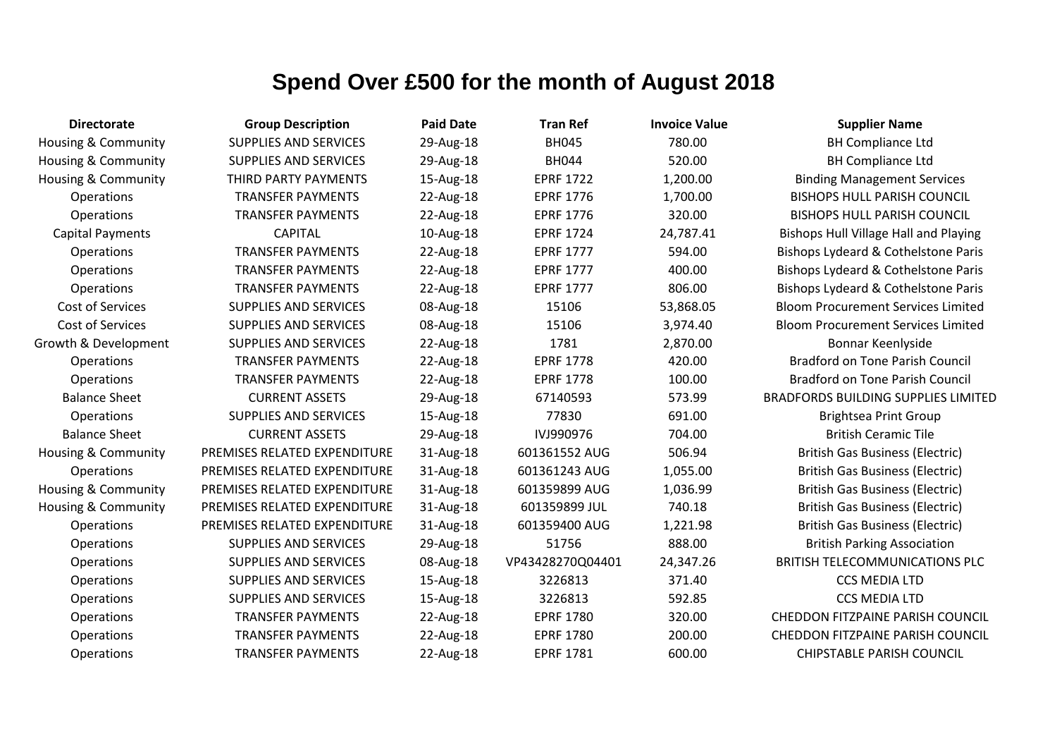| <b>Directorate</b>      | <b>Group Description</b>     | <b>Paid Date</b> | <b>Tran Ref</b>  | <b>Invoice Value</b> | <b>Supplier Name</b>                         |
|-------------------------|------------------------------|------------------|------------------|----------------------|----------------------------------------------|
| Housing & Community     | <b>SUPPLIES AND SERVICES</b> | 29-Aug-18        | <b>BH045</b>     | 780.00               | <b>BH Compliance Ltd</b>                     |
| Housing & Community     | SUPPLIES AND SERVICES        | 29-Aug-18        | <b>BH044</b>     | 520.00               | <b>BH Compliance Ltd</b>                     |
| Housing & Community     | THIRD PARTY PAYMENTS         | 15-Aug-18        | <b>EPRF 1722</b> | 1,200.00             | <b>Binding Management Services</b>           |
| <b>Operations</b>       | <b>TRANSFER PAYMENTS</b>     | 22-Aug-18        | <b>EPRF 1776</b> | 1,700.00             | <b>BISHOPS HULL PARISH COUNCIL</b>           |
| Operations              | <b>TRANSFER PAYMENTS</b>     | 22-Aug-18        | <b>EPRF 1776</b> | 320.00               | <b>BISHOPS HULL PARISH COUNCIL</b>           |
| <b>Capital Payments</b> | <b>CAPITAL</b>               | 10-Aug-18        | <b>EPRF 1724</b> | 24,787.41            | <b>Bishops Hull Village Hall and Playing</b> |
| Operations              | <b>TRANSFER PAYMENTS</b>     | 22-Aug-18        | <b>EPRF 1777</b> | 594.00               | Bishops Lydeard & Cothelstone Paris          |
| <b>Operations</b>       | <b>TRANSFER PAYMENTS</b>     | 22-Aug-18        | <b>EPRF 1777</b> | 400.00               | Bishops Lydeard & Cothelstone Paris          |
| <b>Operations</b>       | <b>TRANSFER PAYMENTS</b>     | 22-Aug-18        | <b>EPRF 1777</b> | 806.00               | Bishops Lydeard & Cothelstone Paris          |
| Cost of Services        | SUPPLIES AND SERVICES        | 08-Aug-18        | 15106            | 53,868.05            | <b>Bloom Procurement Services Limited</b>    |
| Cost of Services        | SUPPLIES AND SERVICES        | 08-Aug-18        | 15106            | 3,974.40             | <b>Bloom Procurement Services Limited</b>    |
| Growth & Development    | <b>SUPPLIES AND SERVICES</b> | 22-Aug-18        | 1781             | 2,870.00             | Bonnar Keenlyside                            |
| <b>Operations</b>       | <b>TRANSFER PAYMENTS</b>     | 22-Aug-18        | <b>EPRF 1778</b> | 420.00               | <b>Bradford on Tone Parish Council</b>       |
| Operations              | <b>TRANSFER PAYMENTS</b>     | 22-Aug-18        | <b>EPRF 1778</b> | 100.00               | <b>Bradford on Tone Parish Council</b>       |
| <b>Balance Sheet</b>    | <b>CURRENT ASSETS</b>        | 29-Aug-18        | 67140593         | 573.99               | <b>BRADFORDS BUILDING SUPPLIES LIMITED</b>   |
| Operations              | SUPPLIES AND SERVICES        | 15-Aug-18        | 77830            | 691.00               | <b>Brightsea Print Group</b>                 |
| <b>Balance Sheet</b>    | <b>CURRENT ASSETS</b>        | 29-Aug-18        | IVJ990976        | 704.00               | <b>British Ceramic Tile</b>                  |
| Housing & Community     | PREMISES RELATED EXPENDITURE | 31-Aug-18        | 601361552 AUG    | 506.94               | <b>British Gas Business (Electric)</b>       |
| <b>Operations</b>       | PREMISES RELATED EXPENDITURE | 31-Aug-18        | 601361243 AUG    | 1,055.00             | <b>British Gas Business (Electric)</b>       |
| Housing & Community     | PREMISES RELATED EXPENDITURE | 31-Aug-18        | 601359899 AUG    | 1,036.99             | <b>British Gas Business (Electric)</b>       |
| Housing & Community     | PREMISES RELATED EXPENDITURE | 31-Aug-18        | 601359899 JUL    | 740.18               | <b>British Gas Business (Electric)</b>       |
| Operations              | PREMISES RELATED EXPENDITURE | 31-Aug-18        | 601359400 AUG    | 1,221.98             | <b>British Gas Business (Electric)</b>       |
| <b>Operations</b>       | <b>SUPPLIES AND SERVICES</b> | 29-Aug-18        | 51756            | 888.00               | <b>British Parking Association</b>           |
| <b>Operations</b>       | <b>SUPPLIES AND SERVICES</b> | 08-Aug-18        | VP43428270Q04401 | 24,347.26            | <b>BRITISH TELECOMMUNICATIONS PLC</b>        |
| Operations              | SUPPLIES AND SERVICES        | 15-Aug-18        | 3226813          | 371.40               | <b>CCS MEDIA LTD</b>                         |
| <b>Operations</b>       | <b>SUPPLIES AND SERVICES</b> | 15-Aug-18        | 3226813          | 592.85               | <b>CCS MEDIA LTD</b>                         |
| <b>Operations</b>       | <b>TRANSFER PAYMENTS</b>     | 22-Aug-18        | <b>EPRF 1780</b> | 320.00               | <b>CHEDDON FITZPAINE PARISH COUNCIL</b>      |
| <b>Operations</b>       | <b>TRANSFER PAYMENTS</b>     | 22-Aug-18        | <b>EPRF 1780</b> | 200.00               | <b>CHEDDON FITZPAINE PARISH COUNCIL</b>      |
| Operations              | <b>TRANSFER PAYMENTS</b>     | 22-Aug-18        | <b>EPRF 1781</b> | 600.00               | <b>CHIPSTABLE PARISH COUNCIL</b>             |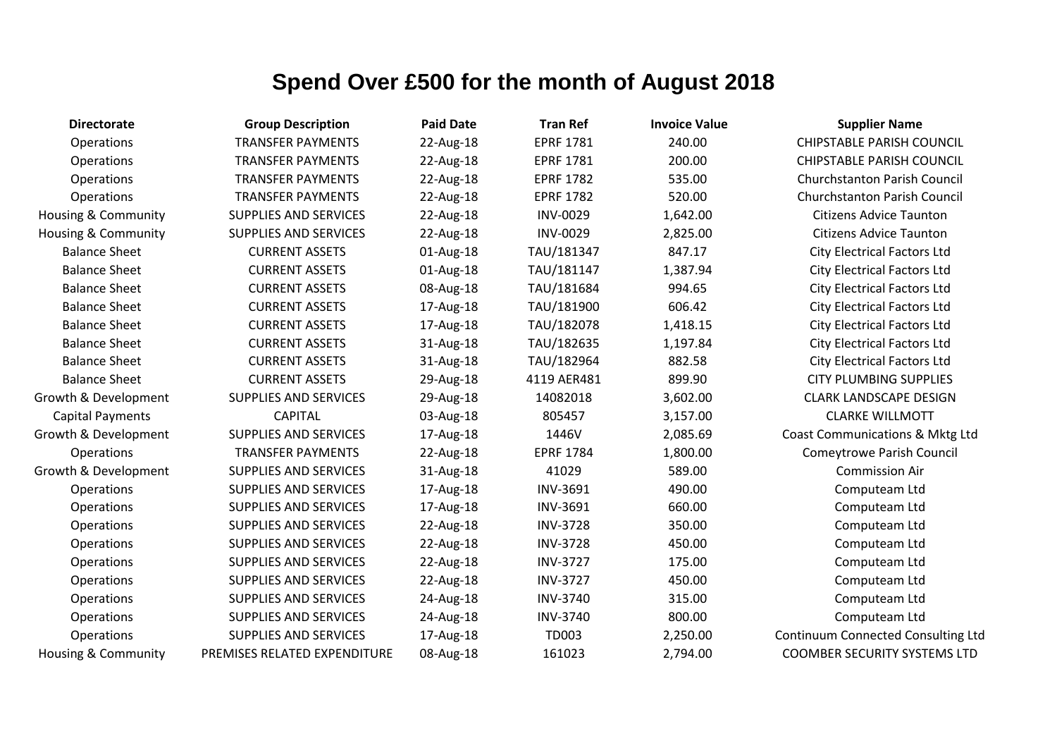| <b>Directorate</b>             | <b>Group Description</b>     | <b>Paid Date</b> | <b>Tran Ref</b>  | <b>Invoice Value</b> | <b>Supplier Name</b>                |
|--------------------------------|------------------------------|------------------|------------------|----------------------|-------------------------------------|
| Operations                     | <b>TRANSFER PAYMENTS</b>     | 22-Aug-18        | <b>EPRF 1781</b> | 240.00               | <b>CHIPSTABLE PARISH COUNCIL</b>    |
| <b>Operations</b>              | <b>TRANSFER PAYMENTS</b>     | 22-Aug-18        | <b>EPRF 1781</b> | 200.00               | <b>CHIPSTABLE PARISH COUNCIL</b>    |
| <b>Operations</b>              | <b>TRANSFER PAYMENTS</b>     | 22-Aug-18        | <b>EPRF 1782</b> | 535.00               | <b>Churchstanton Parish Council</b> |
| Operations                     | <b>TRANSFER PAYMENTS</b>     | 22-Aug-18        | <b>EPRF 1782</b> | 520.00               | <b>Churchstanton Parish Council</b> |
| <b>Housing &amp; Community</b> | <b>SUPPLIES AND SERVICES</b> | 22-Aug-18        | <b>INV-0029</b>  | 1,642.00             | <b>Citizens Advice Taunton</b>      |
| <b>Housing &amp; Community</b> | <b>SUPPLIES AND SERVICES</b> | 22-Aug-18        | <b>INV-0029</b>  | 2,825.00             | <b>Citizens Advice Taunton</b>      |
| <b>Balance Sheet</b>           | <b>CURRENT ASSETS</b>        | 01-Aug-18        | TAU/181347       | 847.17               | <b>City Electrical Factors Ltd</b>  |
| <b>Balance Sheet</b>           | <b>CURRENT ASSETS</b>        | 01-Aug-18        | TAU/181147       | 1,387.94             | <b>City Electrical Factors Ltd</b>  |
| <b>Balance Sheet</b>           | <b>CURRENT ASSETS</b>        | 08-Aug-18        | TAU/181684       | 994.65               | <b>City Electrical Factors Ltd</b>  |
| <b>Balance Sheet</b>           | <b>CURRENT ASSETS</b>        | 17-Aug-18        | TAU/181900       | 606.42               | <b>City Electrical Factors Ltd</b>  |
| <b>Balance Sheet</b>           | <b>CURRENT ASSETS</b>        | 17-Aug-18        | TAU/182078       | 1,418.15             | <b>City Electrical Factors Ltd</b>  |
| <b>Balance Sheet</b>           | <b>CURRENT ASSETS</b>        | 31-Aug-18        | TAU/182635       | 1,197.84             | <b>City Electrical Factors Ltd</b>  |
| <b>Balance Sheet</b>           | <b>CURRENT ASSETS</b>        | 31-Aug-18        | TAU/182964       | 882.58               | <b>City Electrical Factors Ltd</b>  |
| <b>Balance Sheet</b>           | <b>CURRENT ASSETS</b>        | 29-Aug-18        | 4119 AER481      | 899.90               | <b>CITY PLUMBING SUPPLIES</b>       |
| Growth & Development           | SUPPLIES AND SERVICES        | 29-Aug-18        | 14082018         | 3,602.00             | <b>CLARK LANDSCAPE DESIGN</b>       |
| <b>Capital Payments</b>        | <b>CAPITAL</b>               | 03-Aug-18        | 805457           | 3,157.00             | <b>CLARKE WILLMOTT</b>              |
| Growth & Development           | <b>SUPPLIES AND SERVICES</b> | 17-Aug-18        | 1446V            | 2,085.69             | Coast Communications & Mktg Ltd     |
| Operations                     | <b>TRANSFER PAYMENTS</b>     | 22-Aug-18        | <b>EPRF 1784</b> | 1,800.00             | <b>Comeytrowe Parish Council</b>    |
| Growth & Development           | SUPPLIES AND SERVICES        | 31-Aug-18        | 41029            | 589.00               | <b>Commission Air</b>               |
| <b>Operations</b>              | <b>SUPPLIES AND SERVICES</b> | 17-Aug-18        | <b>INV-3691</b>  | 490.00               | Computeam Ltd                       |
| <b>Operations</b>              | SUPPLIES AND SERVICES        | 17-Aug-18        | <b>INV-3691</b>  | 660.00               | Computeam Ltd                       |
| Operations                     | SUPPLIES AND SERVICES        | 22-Aug-18        | <b>INV-3728</b>  | 350.00               | Computeam Ltd                       |
| Operations                     | SUPPLIES AND SERVICES        | 22-Aug-18        | <b>INV-3728</b>  | 450.00               | Computeam Ltd                       |
| Operations                     | <b>SUPPLIES AND SERVICES</b> | 22-Aug-18        | <b>INV-3727</b>  | 175.00               | Computeam Ltd                       |
| Operations                     | SUPPLIES AND SERVICES        | 22-Aug-18        | <b>INV-3727</b>  | 450.00               | Computeam Ltd                       |
| <b>Operations</b>              | <b>SUPPLIES AND SERVICES</b> | 24-Aug-18        | <b>INV-3740</b>  | 315.00               | Computeam Ltd                       |
| <b>Operations</b>              | SUPPLIES AND SERVICES        | 24-Aug-18        | <b>INV-3740</b>  | 800.00               | Computeam Ltd                       |
| Operations                     | <b>SUPPLIES AND SERVICES</b> | 17-Aug-18        | TD003            | 2,250.00             | Continuum Connected Consulting Ltd  |
| <b>Housing &amp; Community</b> | PREMISES RELATED EXPENDITURE | 08-Aug-18        | 161023           | 2,794.00             | <b>COOMBER SECURITY SYSTEMS LTD</b> |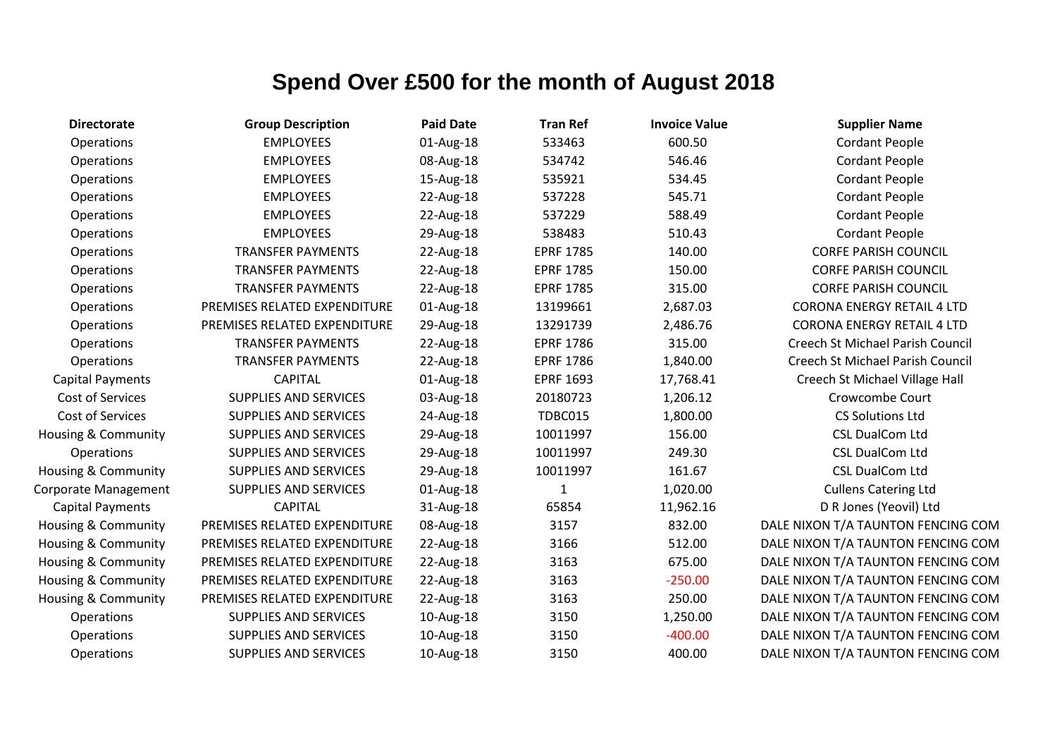| <b>Directorate</b>             | <b>Group Description</b>     | <b>Paid Date</b> | <b>Tran Ref</b>  | <b>Invoice Value</b> | <b>Supplier Name</b>                    |
|--------------------------------|------------------------------|------------------|------------------|----------------------|-----------------------------------------|
| Operations                     | <b>EMPLOYEES</b>             | 01-Aug-18        | 533463           | 600.50               | <b>Cordant People</b>                   |
| Operations                     | <b>EMPLOYEES</b>             | 08-Aug-18        | 534742           | 546.46               | <b>Cordant People</b>                   |
| Operations                     | <b>EMPLOYEES</b>             | 15-Aug-18        | 535921           | 534.45               | <b>Cordant People</b>                   |
| Operations                     | <b>EMPLOYEES</b>             | 22-Aug-18        | 537228           | 545.71               | <b>Cordant People</b>                   |
| Operations                     | <b>EMPLOYEES</b>             | 22-Aug-18        | 537229           | 588.49               | <b>Cordant People</b>                   |
| Operations                     | <b>EMPLOYEES</b>             | 29-Aug-18        | 538483           | 510.43               | <b>Cordant People</b>                   |
| Operations                     | <b>TRANSFER PAYMENTS</b>     | 22-Aug-18        | <b>EPRF 1785</b> | 140.00               | <b>CORFE PARISH COUNCIL</b>             |
| Operations                     | <b>TRANSFER PAYMENTS</b>     | 22-Aug-18        | <b>EPRF 1785</b> | 150.00               | <b>CORFE PARISH COUNCIL</b>             |
| Operations                     | <b>TRANSFER PAYMENTS</b>     | 22-Aug-18        | <b>EPRF 1785</b> | 315.00               | <b>CORFE PARISH COUNCIL</b>             |
| Operations                     | PREMISES RELATED EXPENDITURE | 01-Aug-18        | 13199661         | 2,687.03             | <b>CORONA ENERGY RETAIL 4 LTD</b>       |
| Operations                     | PREMISES RELATED EXPENDITURE | 29-Aug-18        | 13291739         | 2,486.76             | <b>CORONA ENERGY RETAIL 4 LTD</b>       |
| Operations                     | <b>TRANSFER PAYMENTS</b>     | 22-Aug-18        | <b>EPRF 1786</b> | 315.00               | <b>Creech St Michael Parish Council</b> |
| Operations                     | <b>TRANSFER PAYMENTS</b>     | 22-Aug-18        | <b>EPRF 1786</b> | 1,840.00             | Creech St Michael Parish Council        |
| <b>Capital Payments</b>        | <b>CAPITAL</b>               | 01-Aug-18        | <b>EPRF 1693</b> | 17,768.41            | Creech St Michael Village Hall          |
| Cost of Services               | <b>SUPPLIES AND SERVICES</b> | 03-Aug-18        | 20180723         | 1,206.12             | Crowcombe Court                         |
| Cost of Services               | <b>SUPPLIES AND SERVICES</b> | 24-Aug-18        | TDBC015          | 1,800.00             | <b>CS Solutions Ltd</b>                 |
| <b>Housing &amp; Community</b> | <b>SUPPLIES AND SERVICES</b> | 29-Aug-18        | 10011997         | 156.00               | <b>CSL DualCom Ltd</b>                  |
| Operations                     | <b>SUPPLIES AND SERVICES</b> | 29-Aug-18        | 10011997         | 249.30               | <b>CSL DualCom Ltd</b>                  |
| <b>Housing &amp; Community</b> | <b>SUPPLIES AND SERVICES</b> | 29-Aug-18        | 10011997         | 161.67               | <b>CSL DualCom Ltd</b>                  |
| Corporate Management           | <b>SUPPLIES AND SERVICES</b> | 01-Aug-18        | 1                | 1,020.00             | <b>Cullens Catering Ltd</b>             |
| <b>Capital Payments</b>        | <b>CAPITAL</b>               | 31-Aug-18        | 65854            | 11,962.16            | D R Jones (Yeovil) Ltd                  |
| Housing & Community            | PREMISES RELATED EXPENDITURE | 08-Aug-18        | 3157             | 832.00               | DALE NIXON T/A TAUNTON FENCING COM      |
| Housing & Community            | PREMISES RELATED EXPENDITURE | 22-Aug-18        | 3166             | 512.00               | DALE NIXON T/A TAUNTON FENCING COM      |
| Housing & Community            | PREMISES RELATED EXPENDITURE | 22-Aug-18        | 3163             | 675.00               | DALE NIXON T/A TAUNTON FENCING COM      |
| Housing & Community            | PREMISES RELATED EXPENDITURE | 22-Aug-18        | 3163             | $-250.00$            | DALE NIXON T/A TAUNTON FENCING COM      |
| <b>Housing &amp; Community</b> | PREMISES RELATED EXPENDITURE | 22-Aug-18        | 3163             | 250.00               | DALE NIXON T/A TAUNTON FENCING COM      |
| Operations                     | <b>SUPPLIES AND SERVICES</b> | 10-Aug-18        | 3150             | 1,250.00             | DALE NIXON T/A TAUNTON FENCING COM      |
| Operations                     | SUPPLIES AND SERVICES        | 10-Aug-18        | 3150             | $-400.00$            | DALE NIXON T/A TAUNTON FENCING COM      |
| Operations                     | <b>SUPPLIES AND SERVICES</b> | 10-Aug-18        | 3150             | 400.00               | DALE NIXON T/A TAUNTON FENCING COM      |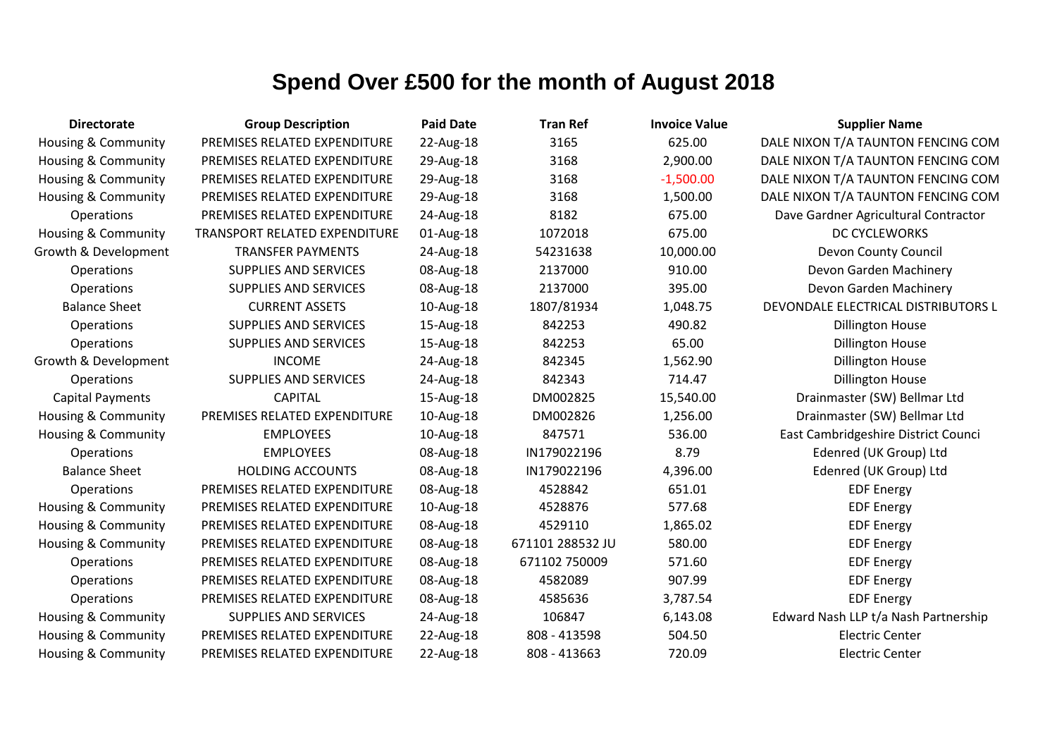| <b>Directorate</b>             | <b>Group Description</b>             | <b>Paid Date</b> | <b>Tran Ref</b>  | <b>Invoice Value</b> | <b>Supplier Name</b>                 |
|--------------------------------|--------------------------------------|------------------|------------------|----------------------|--------------------------------------|
| <b>Housing &amp; Community</b> | PREMISES RELATED EXPENDITURE         | 22-Aug-18        | 3165             | 625.00               | DALE NIXON T/A TAUNTON FENCING COM   |
| Housing & Community            | PREMISES RELATED EXPENDITURE         | 29-Aug-18        | 3168             | 2,900.00             | DALE NIXON T/A TAUNTON FENCING COM   |
| Housing & Community            | PREMISES RELATED EXPENDITURE         | 29-Aug-18        | 3168             | $-1,500.00$          | DALE NIXON T/A TAUNTON FENCING COM   |
| Housing & Community            | PREMISES RELATED EXPENDITURE         | 29-Aug-18        | 3168             | 1,500.00             | DALE NIXON T/A TAUNTON FENCING COM   |
| Operations                     | PREMISES RELATED EXPENDITURE         | 24-Aug-18        | 8182             | 675.00               | Dave Gardner Agricultural Contractor |
| <b>Housing &amp; Community</b> | <b>TRANSPORT RELATED EXPENDITURE</b> | 01-Aug-18        | 1072018          | 675.00               | <b>DC CYCLEWORKS</b>                 |
| Growth & Development           | <b>TRANSFER PAYMENTS</b>             | 24-Aug-18        | 54231638         | 10,000.00            | Devon County Council                 |
| Operations                     | SUPPLIES AND SERVICES                | 08-Aug-18        | 2137000          | 910.00               | Devon Garden Machinery               |
| Operations                     | SUPPLIES AND SERVICES                | 08-Aug-18        | 2137000          | 395.00               | Devon Garden Machinery               |
| <b>Balance Sheet</b>           | <b>CURRENT ASSETS</b>                | 10-Aug-18        | 1807/81934       | 1,048.75             | DEVONDALE ELECTRICAL DISTRIBUTORS L  |
| Operations                     | <b>SUPPLIES AND SERVICES</b>         | 15-Aug-18        | 842253           | 490.82               | <b>Dillington House</b>              |
| Operations                     | SUPPLIES AND SERVICES                | 15-Aug-18        | 842253           | 65.00                | <b>Dillington House</b>              |
| Growth & Development           | <b>INCOME</b>                        | 24-Aug-18        | 842345           | 1,562.90             | <b>Dillington House</b>              |
| Operations                     | <b>SUPPLIES AND SERVICES</b>         | 24-Aug-18        | 842343           | 714.47               | <b>Dillington House</b>              |
| <b>Capital Payments</b>        | <b>CAPITAL</b>                       | 15-Aug-18        | DM002825         | 15,540.00            | Drainmaster (SW) Bellmar Ltd         |
| <b>Housing &amp; Community</b> | PREMISES RELATED EXPENDITURE         | 10-Aug-18        | DM002826         | 1,256.00             | Drainmaster (SW) Bellmar Ltd         |
| <b>Housing &amp; Community</b> | <b>EMPLOYEES</b>                     | 10-Aug-18        | 847571           | 536.00               | East Cambridgeshire District Counci  |
| Operations                     | <b>EMPLOYEES</b>                     | 08-Aug-18        | IN179022196      | 8.79                 | Edenred (UK Group) Ltd               |
| <b>Balance Sheet</b>           | <b>HOLDING ACCOUNTS</b>              | 08-Aug-18        | IN179022196      | 4,396.00             | Edenred (UK Group) Ltd               |
| Operations                     | PREMISES RELATED EXPENDITURE         | 08-Aug-18        | 4528842          | 651.01               | <b>EDF Energy</b>                    |
| <b>Housing &amp; Community</b> | PREMISES RELATED EXPENDITURE         | 10-Aug-18        | 4528876          | 577.68               | <b>EDF Energy</b>                    |
| <b>Housing &amp; Community</b> | PREMISES RELATED EXPENDITURE         | 08-Aug-18        | 4529110          | 1,865.02             | <b>EDF Energy</b>                    |
| Housing & Community            | PREMISES RELATED EXPENDITURE         | 08-Aug-18        | 671101 288532 JU | 580.00               | <b>EDF Energy</b>                    |
| Operations                     | PREMISES RELATED EXPENDITURE         | 08-Aug-18        | 671102 750009    | 571.60               | <b>EDF Energy</b>                    |
| Operations                     | PREMISES RELATED EXPENDITURE         | 08-Aug-18        | 4582089          | 907.99               | <b>EDF Energy</b>                    |
| Operations                     | PREMISES RELATED EXPENDITURE         | 08-Aug-18        | 4585636          | 3,787.54             | <b>EDF Energy</b>                    |
| Housing & Community            | SUPPLIES AND SERVICES                | 24-Aug-18        | 106847           | 6,143.08             | Edward Nash LLP t/a Nash Partnership |
| Housing & Community            | PREMISES RELATED EXPENDITURE         | 22-Aug-18        | 808 - 413598     | 504.50               | <b>Electric Center</b>               |
| Housing & Community            | PREMISES RELATED EXPENDITURE         | 22-Aug-18        | 808 - 413663     | 720.09               | <b>Electric Center</b>               |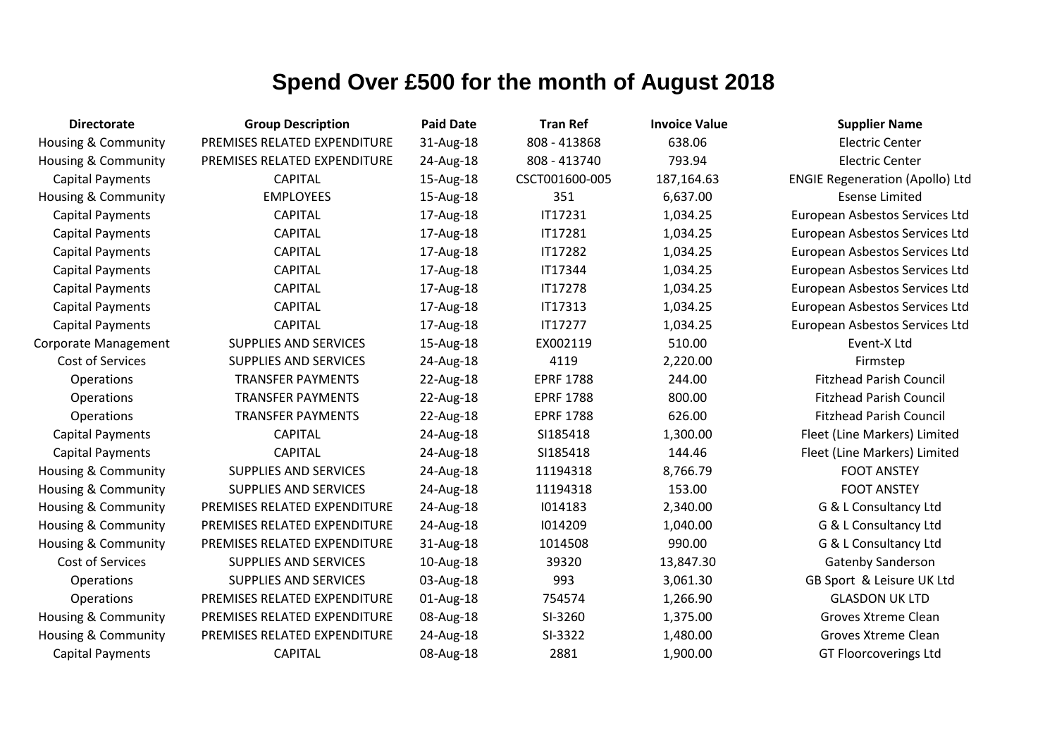| <b>Directorate</b>             | <b>Group Description</b>     | <b>Paid Date</b> | <b>Tran Ref</b>  | <b>Invoice Value</b> | <b>Supplier Name</b>                   |
|--------------------------------|------------------------------|------------------|------------------|----------------------|----------------------------------------|
| <b>Housing &amp; Community</b> | PREMISES RELATED EXPENDITURE | 31-Aug-18        | 808 - 413868     | 638.06               | <b>Electric Center</b>                 |
| <b>Housing &amp; Community</b> | PREMISES RELATED EXPENDITURE | 24-Aug-18        | 808 - 413740     | 793.94               | <b>Electric Center</b>                 |
| <b>Capital Payments</b>        | <b>CAPITAL</b>               | 15-Aug-18        | CSCT001600-005   | 187,164.63           | <b>ENGIE Regeneration (Apollo) Ltd</b> |
| Housing & Community            | <b>EMPLOYEES</b>             | 15-Aug-18        | 351              | 6,637.00             | <b>Esense Limited</b>                  |
| <b>Capital Payments</b>        | <b>CAPITAL</b>               | 17-Aug-18        | IT17231          | 1,034.25             | European Asbestos Services Ltd         |
| <b>Capital Payments</b>        | <b>CAPITAL</b>               | 17-Aug-18        | IT17281          | 1,034.25             | European Asbestos Services Ltd         |
| <b>Capital Payments</b>        | <b>CAPITAL</b>               | 17-Aug-18        | IT17282          | 1,034.25             | European Asbestos Services Ltd         |
| <b>Capital Payments</b>        | <b>CAPITAL</b>               | 17-Aug-18        | IT17344          | 1,034.25             | European Asbestos Services Ltd         |
| <b>Capital Payments</b>        | <b>CAPITAL</b>               | 17-Aug-18        | IT17278          | 1,034.25             | European Asbestos Services Ltd         |
| <b>Capital Payments</b>        | <b>CAPITAL</b>               | 17-Aug-18        | <b>IT17313</b>   | 1,034.25             | European Asbestos Services Ltd         |
| <b>Capital Payments</b>        | <b>CAPITAL</b>               | 17-Aug-18        | <b>IT17277</b>   | 1,034.25             | European Asbestos Services Ltd         |
| <b>Corporate Management</b>    | <b>SUPPLIES AND SERVICES</b> | 15-Aug-18        | EX002119         | 510.00               | Event-X Ltd                            |
| Cost of Services               | <b>SUPPLIES AND SERVICES</b> | 24-Aug-18        | 4119             | 2,220.00             | Firmstep                               |
| Operations                     | <b>TRANSFER PAYMENTS</b>     | 22-Aug-18        | <b>EPRF 1788</b> | 244.00               | <b>Fitzhead Parish Council</b>         |
| Operations                     | <b>TRANSFER PAYMENTS</b>     | 22-Aug-18        | <b>EPRF 1788</b> | 800.00               | <b>Fitzhead Parish Council</b>         |
| Operations                     | <b>TRANSFER PAYMENTS</b>     | 22-Aug-18        | <b>EPRF 1788</b> | 626.00               | <b>Fitzhead Parish Council</b>         |
| <b>Capital Payments</b>        | <b>CAPITAL</b>               | 24-Aug-18        | SI185418         | 1,300.00             | Fleet (Line Markers) Limited           |
| <b>Capital Payments</b>        | <b>CAPITAL</b>               | 24-Aug-18        | SI185418         | 144.46               | Fleet (Line Markers) Limited           |
| <b>Housing &amp; Community</b> | <b>SUPPLIES AND SERVICES</b> | 24-Aug-18        | 11194318         | 8,766.79             | <b>FOOT ANSTEY</b>                     |
| <b>Housing &amp; Community</b> | <b>SUPPLIES AND SERVICES</b> | 24-Aug-18        | 11194318         | 153.00               | <b>FOOT ANSTEY</b>                     |
| <b>Housing &amp; Community</b> | PREMISES RELATED EXPENDITURE | 24-Aug-18        | 1014183          | 2,340.00             | G & L Consultancy Ltd                  |
| <b>Housing &amp; Community</b> | PREMISES RELATED EXPENDITURE | 24-Aug-18        | 1014209          | 1,040.00             | G & L Consultancy Ltd                  |
| <b>Housing &amp; Community</b> | PREMISES RELATED EXPENDITURE | 31-Aug-18        | 1014508          | 990.00               | G & L Consultancy Ltd                  |
| Cost of Services               | <b>SUPPLIES AND SERVICES</b> | 10-Aug-18        | 39320            | 13,847.30            | Gatenby Sanderson                      |
| Operations                     | <b>SUPPLIES AND SERVICES</b> | 03-Aug-18        | 993              | 3,061.30             | GB Sport & Leisure UK Ltd              |
| Operations                     | PREMISES RELATED EXPENDITURE | 01-Aug-18        | 754574           | 1,266.90             | <b>GLASDON UK LTD</b>                  |
| <b>Housing &amp; Community</b> | PREMISES RELATED EXPENDITURE | 08-Aug-18        | SI-3260          | 1,375.00             | Groves Xtreme Clean                    |
| <b>Housing &amp; Community</b> | PREMISES RELATED EXPENDITURE | 24-Aug-18        | SI-3322          | 1,480.00             | Groves Xtreme Clean                    |
| <b>Capital Payments</b>        | <b>CAPITAL</b>               | 08-Aug-18        | 2881             | 1,900.00             | <b>GT Floorcoverings Ltd</b>           |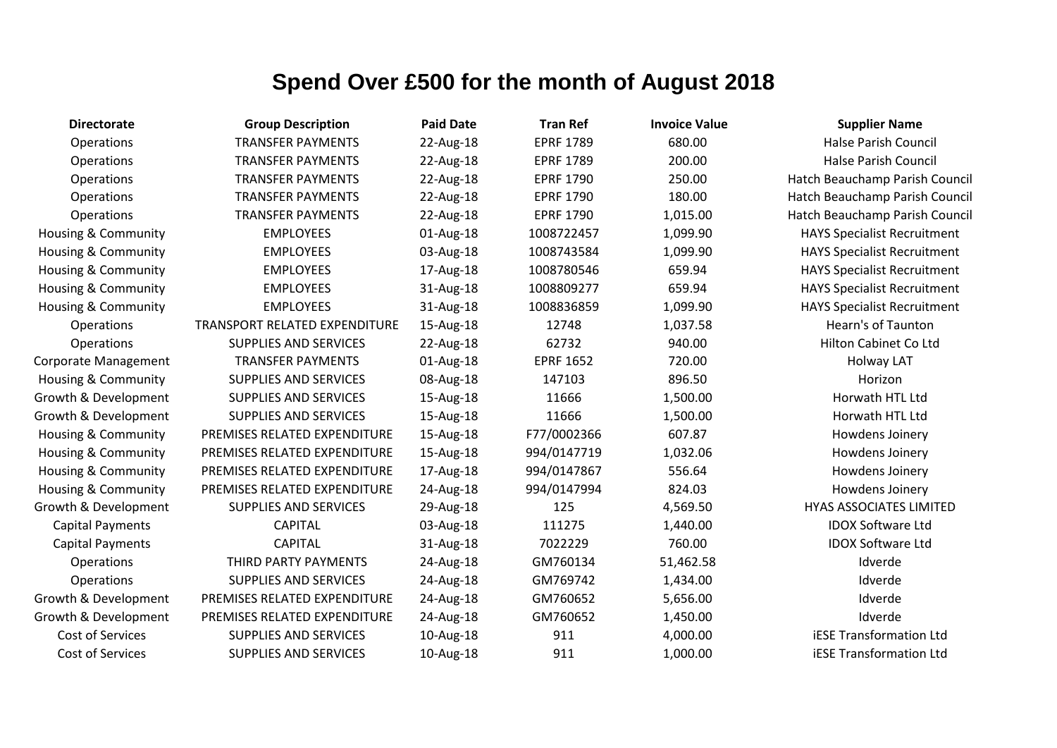| <b>Directorate</b>             | <b>Group Description</b>      | <b>Paid Date</b> | <b>Tran Ref</b>  | <b>Invoice Value</b> | <b>Supplier Name</b>               |
|--------------------------------|-------------------------------|------------------|------------------|----------------------|------------------------------------|
| Operations                     | <b>TRANSFER PAYMENTS</b>      | 22-Aug-18        | <b>EPRF 1789</b> | 680.00               | <b>Halse Parish Council</b>        |
| Operations                     | <b>TRANSFER PAYMENTS</b>      | 22-Aug-18        | <b>EPRF 1789</b> | 200.00               | <b>Halse Parish Council</b>        |
| Operations                     | <b>TRANSFER PAYMENTS</b>      | 22-Aug-18        | <b>EPRF 1790</b> | 250.00               | Hatch Beauchamp Parish Council     |
| Operations                     | <b>TRANSFER PAYMENTS</b>      | 22-Aug-18        | <b>EPRF 1790</b> | 180.00               | Hatch Beauchamp Parish Council     |
| Operations                     | <b>TRANSFER PAYMENTS</b>      | 22-Aug-18        | <b>EPRF 1790</b> | 1,015.00             | Hatch Beauchamp Parish Council     |
| Housing & Community            | <b>EMPLOYEES</b>              | 01-Aug-18        | 1008722457       | 1,099.90             | <b>HAYS Specialist Recruitment</b> |
| Housing & Community            | <b>EMPLOYEES</b>              | 03-Aug-18        | 1008743584       | 1,099.90             | <b>HAYS Specialist Recruitment</b> |
| Housing & Community            | <b>EMPLOYEES</b>              | 17-Aug-18        | 1008780546       | 659.94               | <b>HAYS Specialist Recruitment</b> |
| <b>Housing &amp; Community</b> | <b>EMPLOYEES</b>              | 31-Aug-18        | 1008809277       | 659.94               | <b>HAYS Specialist Recruitment</b> |
| <b>Housing &amp; Community</b> | <b>EMPLOYEES</b>              | 31-Aug-18        | 1008836859       | 1,099.90             | <b>HAYS Specialist Recruitment</b> |
| Operations                     | TRANSPORT RELATED EXPENDITURE | 15-Aug-18        | 12748            | 1,037.58             | Hearn's of Taunton                 |
| Operations                     | <b>SUPPLIES AND SERVICES</b>  | 22-Aug-18        | 62732            | 940.00               | Hilton Cabinet Co Ltd              |
| Corporate Management           | <b>TRANSFER PAYMENTS</b>      | 01-Aug-18        | <b>EPRF 1652</b> | 720.00               | <b>Holway LAT</b>                  |
| Housing & Community            | <b>SUPPLIES AND SERVICES</b>  | 08-Aug-18        | 147103           | 896.50               | Horizon                            |
| Growth & Development           | <b>SUPPLIES AND SERVICES</b>  | 15-Aug-18        | 11666            | 1,500.00             | Horwath HTL Ltd                    |
| Growth & Development           | <b>SUPPLIES AND SERVICES</b>  | 15-Aug-18        | 11666            | 1,500.00             | Horwath HTL Ltd                    |
| Housing & Community            | PREMISES RELATED EXPENDITURE  | 15-Aug-18        | F77/0002366      | 607.87               | Howdens Joinery                    |
| <b>Housing &amp; Community</b> | PREMISES RELATED EXPENDITURE  | 15-Aug-18        | 994/0147719      | 1,032.06             | Howdens Joinery                    |
| Housing & Community            | PREMISES RELATED EXPENDITURE  | 17-Aug-18        | 994/0147867      | 556.64               | Howdens Joinery                    |
| <b>Housing &amp; Community</b> | PREMISES RELATED EXPENDITURE  | 24-Aug-18        | 994/0147994      | 824.03               | Howdens Joinery                    |
| Growth & Development           | <b>SUPPLIES AND SERVICES</b>  | 29-Aug-18        | 125              | 4,569.50             | <b>HYAS ASSOCIATES LIMITED</b>     |
| <b>Capital Payments</b>        | <b>CAPITAL</b>                | 03-Aug-18        | 111275           | 1,440.00             | <b>IDOX Software Ltd</b>           |
| <b>Capital Payments</b>        | <b>CAPITAL</b>                | 31-Aug-18        | 7022229          | 760.00               | <b>IDOX Software Ltd</b>           |
| Operations                     | THIRD PARTY PAYMENTS          | 24-Aug-18        | GM760134         | 51,462.58            | Idverde                            |
| Operations                     | <b>SUPPLIES AND SERVICES</b>  | 24-Aug-18        | GM769742         | 1,434.00             | Idverde                            |
| Growth & Development           | PREMISES RELATED EXPENDITURE  | 24-Aug-18        | GM760652         | 5,656.00             | Idverde                            |
| Growth & Development           | PREMISES RELATED EXPENDITURE  | 24-Aug-18        | GM760652         | 1,450.00             | Idverde                            |
| Cost of Services               | <b>SUPPLIES AND SERVICES</b>  | 10-Aug-18        | 911              | 4,000.00             | <b>iESE Transformation Ltd</b>     |
| Cost of Services               | <b>SUPPLIES AND SERVICES</b>  | 10-Aug-18        | 911              | 1,000.00             | <b>iESE Transformation Ltd</b>     |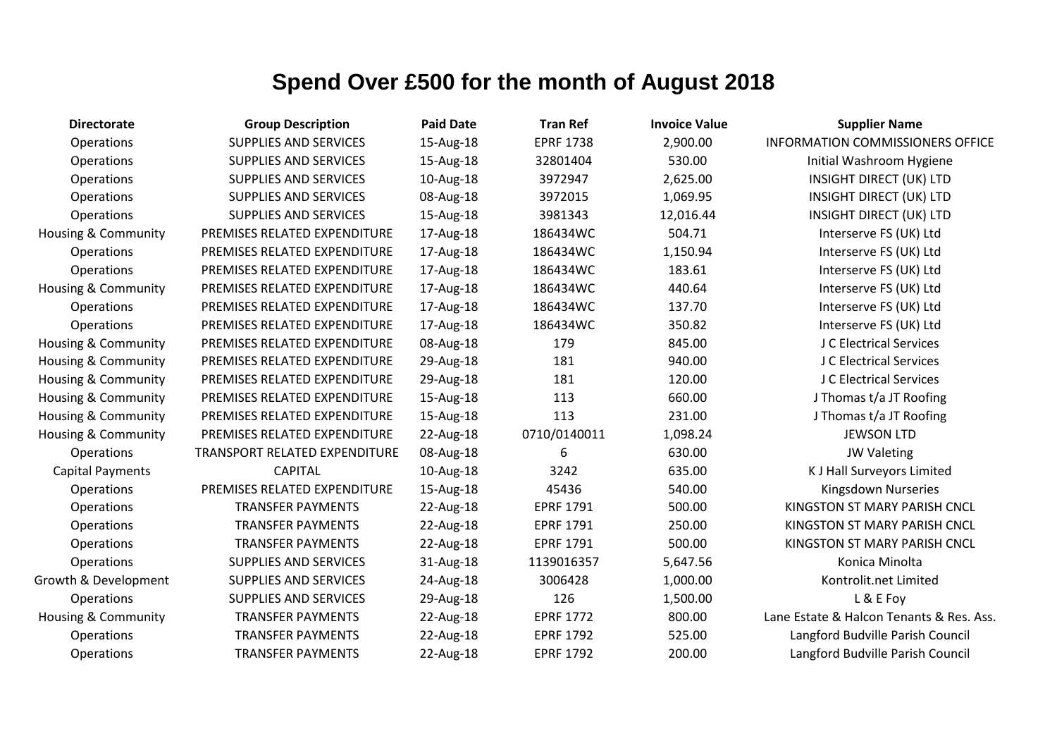| <b>Directorate</b>             | <b>Group Description</b>             | <b>Paid Date</b> | <b>Tran Ref</b>  | <b>Invoice Value</b> | <b>Supplier Name</b>                     |
|--------------------------------|--------------------------------------|------------------|------------------|----------------------|------------------------------------------|
| Operations                     | <b>SUPPLIES AND SERVICES</b>         | 15-Aug-18        | <b>EPRF 1738</b> | 2,900.00             | <b>INFORMATION COMMISSIONERS OFFICE</b>  |
| Operations                     | <b>SUPPLIES AND SERVICES</b>         | 15-Aug-18        | 32801404         | 530.00               | Initial Washroom Hygiene                 |
| Operations                     | <b>SUPPLIES AND SERVICES</b>         | 10-Aug-18        | 3972947          | 2,625.00             | <b>INSIGHT DIRECT (UK) LTD</b>           |
| Operations                     | <b>SUPPLIES AND SERVICES</b>         | 08-Aug-18        | 3972015          | 1,069.95             | <b>INSIGHT DIRECT (UK) LTD</b>           |
| Operations                     | <b>SUPPLIES AND SERVICES</b>         | 15-Aug-18        | 3981343          | 12,016.44            | <b>INSIGHT DIRECT (UK) LTD</b>           |
| <b>Housing &amp; Community</b> | PREMISES RELATED EXPENDITURE         | 17-Aug-18        | 186434WC         | 504.71               | Interserve FS (UK) Ltd                   |
| Operations                     | PREMISES RELATED EXPENDITURE         | 17-Aug-18        | 186434WC         | 1,150.94             | Interserve FS (UK) Ltd                   |
| Operations                     | PREMISES RELATED EXPENDITURE         | 17-Aug-18        | 186434WC         | 183.61               | Interserve FS (UK) Ltd                   |
| <b>Housing &amp; Community</b> | PREMISES RELATED EXPENDITURE         | 17-Aug-18        | 186434WC         | 440.64               | Interserve FS (UK) Ltd                   |
| Operations                     | PREMISES RELATED EXPENDITURE         | 17-Aug-18        | 186434WC         | 137.70               | Interserve FS (UK) Ltd                   |
| Operations                     | PREMISES RELATED EXPENDITURE         | 17-Aug-18        | 186434WC         | 350.82               | Interserve FS (UK) Ltd                   |
| Housing & Community            | PREMISES RELATED EXPENDITURE         | 08-Aug-18        | 179              | 845.00               | J C Electrical Services                  |
| Housing & Community            | PREMISES RELATED EXPENDITURE         | 29-Aug-18        | 181              | 940.00               | J C Electrical Services                  |
| Housing & Community            | PREMISES RELATED EXPENDITURE         | 29-Aug-18        | 181              | 120.00               | J C Electrical Services                  |
| Housing & Community            | PREMISES RELATED EXPENDITURE         | 15-Aug-18        | 113              | 660.00               | J Thomas t/a JT Roofing                  |
| <b>Housing &amp; Community</b> | PREMISES RELATED EXPENDITURE         | 15-Aug-18        | 113              | 231.00               | J Thomas t/a JT Roofing                  |
| Housing & Community            | PREMISES RELATED EXPENDITURE         | 22-Aug-18        | 0710/0140011     | 1,098.24             | <b>JEWSON LTD</b>                        |
| Operations                     | <b>TRANSPORT RELATED EXPENDITURE</b> | 08-Aug-18        | 6                | 630.00               | <b>JW Valeting</b>                       |
| <b>Capital Payments</b>        | <b>CAPITAL</b>                       | 10-Aug-18        | 3242             | 635.00               | <b>KJ Hall Surveyors Limited</b>         |
| Operations                     | PREMISES RELATED EXPENDITURE         | 15-Aug-18        | 45436            | 540.00               | Kingsdown Nurseries                      |
| Operations                     | <b>TRANSFER PAYMENTS</b>             | 22-Aug-18        | <b>EPRF 1791</b> | 500.00               | KINGSTON ST MARY PARISH CNCL             |
| Operations                     | <b>TRANSFER PAYMENTS</b>             | 22-Aug-18        | <b>EPRF 1791</b> | 250.00               | KINGSTON ST MARY PARISH CNCL             |
| Operations                     | <b>TRANSFER PAYMENTS</b>             | 22-Aug-18        | <b>EPRF 1791</b> | 500.00               | KINGSTON ST MARY PARISH CNCL             |
| Operations                     | <b>SUPPLIES AND SERVICES</b>         | 31-Aug-18        | 1139016357       | 5,647.56             | Konica Minolta                           |
| Growth & Development           | <b>SUPPLIES AND SERVICES</b>         | 24-Aug-18        | 3006428          | 1,000.00             | Kontrolit.net Limited                    |
| Operations                     | <b>SUPPLIES AND SERVICES</b>         | 29-Aug-18        | 126              | 1,500.00             | L & E Foy                                |
| Housing & Community            | <b>TRANSFER PAYMENTS</b>             | 22-Aug-18        | <b>EPRF 1772</b> | 800.00               | Lane Estate & Halcon Tenants & Res. Ass. |
| <b>Operations</b>              | <b>TRANSFER PAYMENTS</b>             | 22-Aug-18        | <b>EPRF 1792</b> | 525.00               | Langford Budville Parish Council         |
| Operations                     | <b>TRANSFER PAYMENTS</b>             | 22-Aug-18        | <b>EPRF 1792</b> | 200.00               | Langford Budville Parish Council         |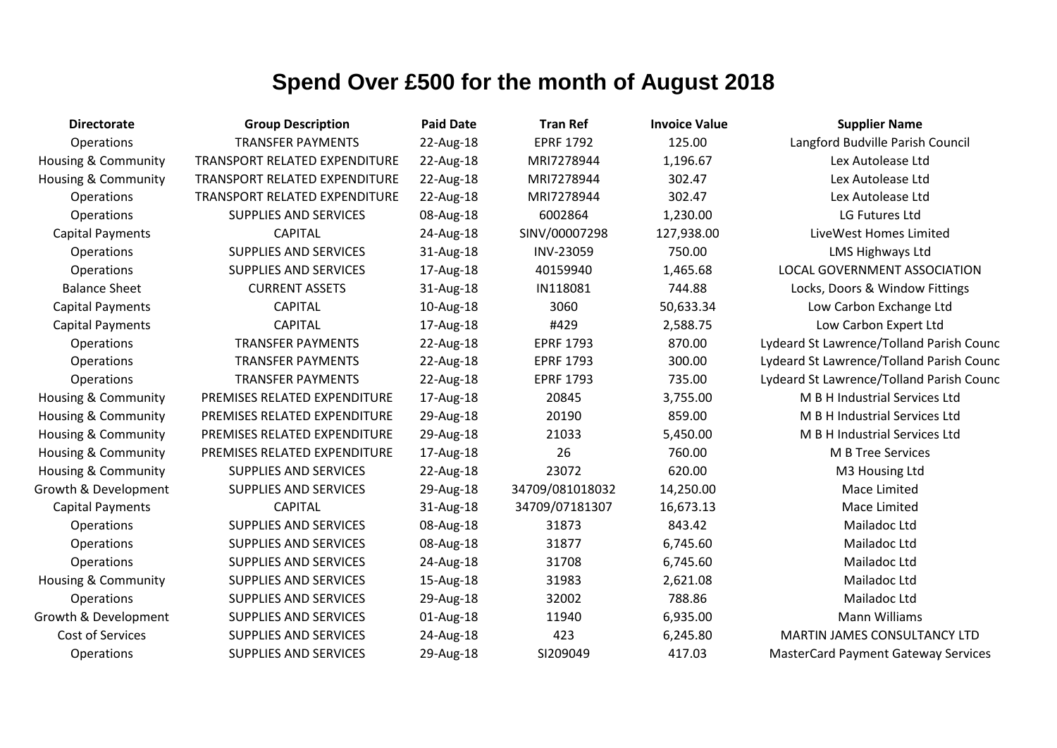| <b>Directorate</b>             | <b>Group Description</b>      | <b>Paid Date</b> | <b>Tran Ref</b>  | <b>Invoice Value</b> | <b>Supplier Name</b>                       |
|--------------------------------|-------------------------------|------------------|------------------|----------------------|--------------------------------------------|
| Operations                     | <b>TRANSFER PAYMENTS</b>      | 22-Aug-18        | <b>EPRF 1792</b> | 125.00               | Langford Budville Parish Council           |
| Housing & Community            | TRANSPORT RELATED EXPENDITURE | 22-Aug-18        | MRI7278944       | 1,196.67             | Lex Autolease Ltd                          |
| Housing & Community            | TRANSPORT RELATED EXPENDITURE | 22-Aug-18        | MRI7278944       | 302.47               | Lex Autolease Ltd                          |
| Operations                     | TRANSPORT RELATED EXPENDITURE | 22-Aug-18        | MRI7278944       | 302.47               | Lex Autolease Ltd                          |
| Operations                     | <b>SUPPLIES AND SERVICES</b>  | 08-Aug-18        | 6002864          | 1,230.00             | LG Futures Ltd                             |
| <b>Capital Payments</b>        | <b>CAPITAL</b>                | 24-Aug-18        | SINV/00007298    | 127,938.00           | LiveWest Homes Limited                     |
| Operations                     | <b>SUPPLIES AND SERVICES</b>  | 31-Aug-18        | INV-23059        | 750.00               | <b>LMS Highways Ltd</b>                    |
| Operations                     | <b>SUPPLIES AND SERVICES</b>  | 17-Aug-18        | 40159940         | 1,465.68             | <b>LOCAL GOVERNMENT ASSOCIATION</b>        |
| <b>Balance Sheet</b>           | <b>CURRENT ASSETS</b>         | 31-Aug-18        | IN118081         | 744.88               | Locks, Doors & Window Fittings             |
| <b>Capital Payments</b>        | <b>CAPITAL</b>                | 10-Aug-18        | 3060             | 50,633.34            | Low Carbon Exchange Ltd                    |
| <b>Capital Payments</b>        | <b>CAPITAL</b>                | 17-Aug-18        | #429             | 2,588.75             | Low Carbon Expert Ltd                      |
| Operations                     | <b>TRANSFER PAYMENTS</b>      | 22-Aug-18        | <b>EPRF 1793</b> | 870.00               | Lydeard St Lawrence/Tolland Parish Counc   |
| Operations                     | <b>TRANSFER PAYMENTS</b>      | 22-Aug-18        | <b>EPRF 1793</b> | 300.00               | Lydeard St Lawrence/Tolland Parish Counc   |
| Operations                     | <b>TRANSFER PAYMENTS</b>      | 22-Aug-18        | <b>EPRF 1793</b> | 735.00               | Lydeard St Lawrence/Tolland Parish Counc   |
| <b>Housing &amp; Community</b> | PREMISES RELATED EXPENDITURE  | 17-Aug-18        | 20845            | 3,755.00             | M B H Industrial Services Ltd              |
| Housing & Community            | PREMISES RELATED EXPENDITURE  | 29-Aug-18        | 20190            | 859.00               | M B H Industrial Services Ltd              |
| Housing & Community            | PREMISES RELATED EXPENDITURE  | 29-Aug-18        | 21033            | 5,450.00             | M B H Industrial Services Ltd              |
| <b>Housing &amp; Community</b> | PREMISES RELATED EXPENDITURE  | 17-Aug-18        | 26               | 760.00               | M B Tree Services                          |
| <b>Housing &amp; Community</b> | <b>SUPPLIES AND SERVICES</b>  | 22-Aug-18        | 23072            | 620.00               | M3 Housing Ltd                             |
| Growth & Development           | <b>SUPPLIES AND SERVICES</b>  | 29-Aug-18        | 34709/081018032  | 14,250.00            | Mace Limited                               |
| <b>Capital Payments</b>        | <b>CAPITAL</b>                | 31-Aug-18        | 34709/07181307   | 16,673.13            | Mace Limited                               |
| Operations                     | <b>SUPPLIES AND SERVICES</b>  | 08-Aug-18        | 31873            | 843.42               | Mailadoc Ltd                               |
| Operations                     | <b>SUPPLIES AND SERVICES</b>  | 08-Aug-18        | 31877            | 6,745.60             | Mailadoc Ltd                               |
| Operations                     | <b>SUPPLIES AND SERVICES</b>  | 24-Aug-18        | 31708            | 6,745.60             | Mailadoc Ltd                               |
| <b>Housing &amp; Community</b> | <b>SUPPLIES AND SERVICES</b>  | 15-Aug-18        | 31983            | 2,621.08             | Mailadoc Ltd                               |
| Operations                     | <b>SUPPLIES AND SERVICES</b>  | 29-Aug-18        | 32002            | 788.86               | Mailadoc Ltd                               |
| Growth & Development           | <b>SUPPLIES AND SERVICES</b>  | 01-Aug-18        | 11940            | 6,935.00             | <b>Mann Williams</b>                       |
| Cost of Services               | <b>SUPPLIES AND SERVICES</b>  | 24-Aug-18        | 423              | 6,245.80             | MARTIN JAMES CONSULTANCY LTD               |
| Operations                     | <b>SUPPLIES AND SERVICES</b>  | 29-Aug-18        | SI209049         | 417.03               | <b>MasterCard Payment Gateway Services</b> |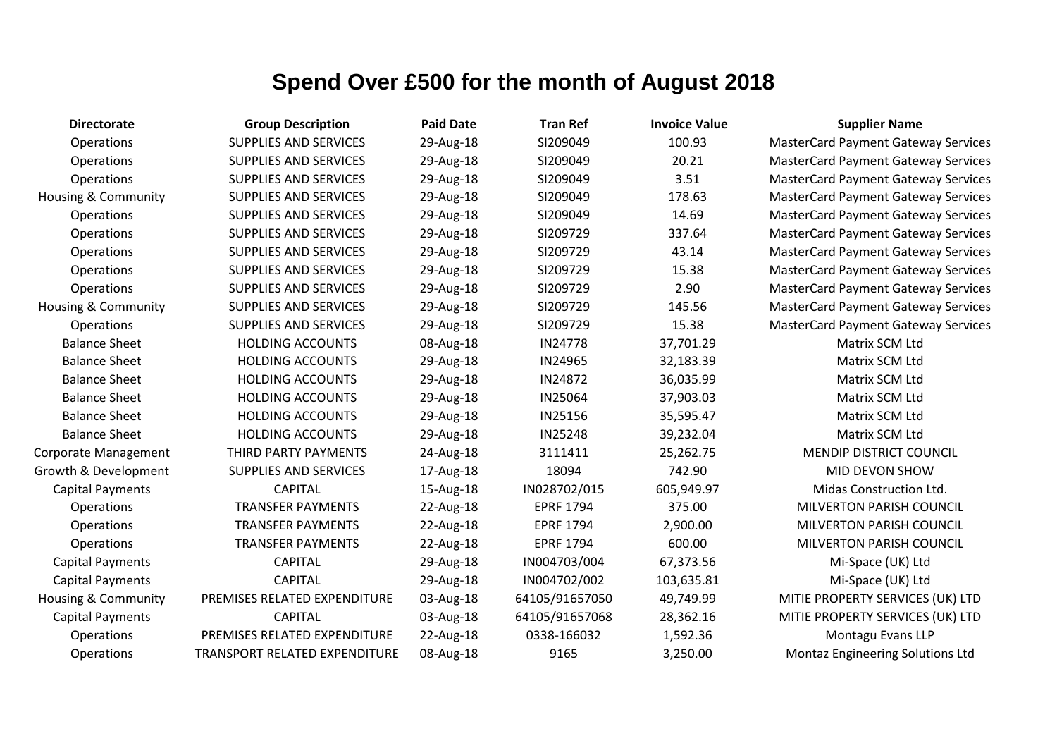| <b>Directorate</b>             | <b>Group Description</b>             | <b>Paid Date</b> | <b>Tran Ref</b>  | <b>Invoice Value</b> | <b>Supplier Name</b>                       |
|--------------------------------|--------------------------------------|------------------|------------------|----------------------|--------------------------------------------|
| Operations                     | <b>SUPPLIES AND SERVICES</b>         | 29-Aug-18        | SI209049         | 100.93               | <b>MasterCard Payment Gateway Services</b> |
| <b>Operations</b>              | <b>SUPPLIES AND SERVICES</b>         | 29-Aug-18        | SI209049         | 20.21                | <b>MasterCard Payment Gateway Services</b> |
| Operations                     | <b>SUPPLIES AND SERVICES</b>         | 29-Aug-18        | SI209049         | 3.51                 | <b>MasterCard Payment Gateway Services</b> |
| Housing & Community            | <b>SUPPLIES AND SERVICES</b>         | 29-Aug-18        | SI209049         | 178.63               | <b>MasterCard Payment Gateway Services</b> |
| Operations                     | <b>SUPPLIES AND SERVICES</b>         | 29-Aug-18        | SI209049         | 14.69                | <b>MasterCard Payment Gateway Services</b> |
| Operations                     | <b>SUPPLIES AND SERVICES</b>         | 29-Aug-18        | SI209729         | 337.64               | <b>MasterCard Payment Gateway Services</b> |
| <b>Operations</b>              | <b>SUPPLIES AND SERVICES</b>         | 29-Aug-18        | SI209729         | 43.14                | <b>MasterCard Payment Gateway Services</b> |
| Operations                     | <b>SUPPLIES AND SERVICES</b>         | 29-Aug-18        | SI209729         | 15.38                | <b>MasterCard Payment Gateway Services</b> |
| Operations                     | <b>SUPPLIES AND SERVICES</b>         | 29-Aug-18        | SI209729         | 2.90                 | <b>MasterCard Payment Gateway Services</b> |
| <b>Housing &amp; Community</b> | <b>SUPPLIES AND SERVICES</b>         | 29-Aug-18        | SI209729         | 145.56               | <b>MasterCard Payment Gateway Services</b> |
| Operations                     | <b>SUPPLIES AND SERVICES</b>         | 29-Aug-18        | SI209729         | 15.38                | <b>MasterCard Payment Gateway Services</b> |
| <b>Balance Sheet</b>           | <b>HOLDING ACCOUNTS</b>              | 08-Aug-18        | IN24778          | 37,701.29            | Matrix SCM Ltd                             |
| <b>Balance Sheet</b>           | <b>HOLDING ACCOUNTS</b>              | 29-Aug-18        | IN24965          | 32,183.39            | Matrix SCM Ltd                             |
| <b>Balance Sheet</b>           | <b>HOLDING ACCOUNTS</b>              | 29-Aug-18        | IN24872          | 36,035.99            | Matrix SCM Ltd                             |
| <b>Balance Sheet</b>           | <b>HOLDING ACCOUNTS</b>              | 29-Aug-18        | IN25064          | 37,903.03            | Matrix SCM Ltd                             |
| <b>Balance Sheet</b>           | <b>HOLDING ACCOUNTS</b>              | 29-Aug-18        | IN25156          | 35,595.47            | Matrix SCM Ltd                             |
| <b>Balance Sheet</b>           | <b>HOLDING ACCOUNTS</b>              | 29-Aug-18        | <b>IN25248</b>   | 39,232.04            | Matrix SCM Ltd                             |
| Corporate Management           | THIRD PARTY PAYMENTS                 | 24-Aug-18        | 3111411          | 25,262.75            | <b>MENDIP DISTRICT COUNCIL</b>             |
| Growth & Development           | <b>SUPPLIES AND SERVICES</b>         | 17-Aug-18        | 18094            | 742.90               | MID DEVON SHOW                             |
| <b>Capital Payments</b>        | <b>CAPITAL</b>                       | 15-Aug-18        | IN028702/015     | 605,949.97           | Midas Construction Ltd.                    |
| Operations                     | <b>TRANSFER PAYMENTS</b>             | 22-Aug-18        | <b>EPRF 1794</b> | 375.00               | <b>MILVERTON PARISH COUNCIL</b>            |
| <b>Operations</b>              | <b>TRANSFER PAYMENTS</b>             | 22-Aug-18        | <b>EPRF 1794</b> | 2,900.00             | <b>MILVERTON PARISH COUNCIL</b>            |
| <b>Operations</b>              | <b>TRANSFER PAYMENTS</b>             | 22-Aug-18        | <b>EPRF 1794</b> | 600.00               | <b>MILVERTON PARISH COUNCIL</b>            |
| <b>Capital Payments</b>        | <b>CAPITAL</b>                       | 29-Aug-18        | IN004703/004     | 67,373.56            | Mi-Space (UK) Ltd                          |
| <b>Capital Payments</b>        | <b>CAPITAL</b>                       | 29-Aug-18        | IN004702/002     | 103,635.81           | Mi-Space (UK) Ltd                          |
| <b>Housing &amp; Community</b> | PREMISES RELATED EXPENDITURE         | 03-Aug-18        | 64105/91657050   | 49,749.99            | MITIE PROPERTY SERVICES (UK) LTD           |
| <b>Capital Payments</b>        | <b>CAPITAL</b>                       | 03-Aug-18        | 64105/91657068   | 28,362.16            | MITIE PROPERTY SERVICES (UK) LTD           |
| <b>Operations</b>              | PREMISES RELATED EXPENDITURE         | 22-Aug-18        | 0338-166032      | 1,592.36             | Montagu Evans LLP                          |
| Operations                     | <b>TRANSPORT RELATED EXPENDITURE</b> | 08-Aug-18        | 9165             | 3,250.00             | Montaz Engineering Solutions Ltd           |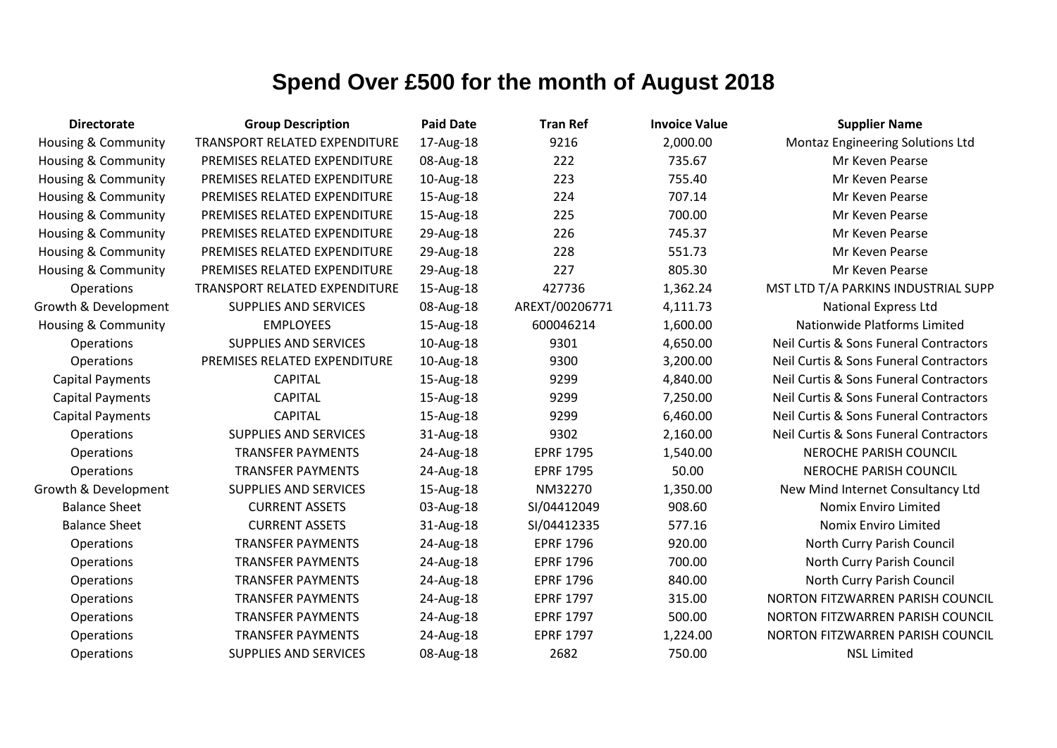| <b>Directorate</b>             | <b>Group Description</b>      | <b>Paid Date</b> | <b>Tran Ref</b>  | <b>Invoice Value</b> | <b>Supplier Name</b>                   |
|--------------------------------|-------------------------------|------------------|------------------|----------------------|----------------------------------------|
| <b>Housing &amp; Community</b> | TRANSPORT RELATED EXPENDITURE | 17-Aug-18        | 9216             | 2,000.00             | Montaz Engineering Solutions Ltd       |
| Housing & Community            | PREMISES RELATED EXPENDITURE  | 08-Aug-18        | 222              | 735.67               | Mr Keven Pearse                        |
| Housing & Community            | PREMISES RELATED EXPENDITURE  | 10-Aug-18        | 223              | 755.40               | Mr Keven Pearse                        |
| <b>Housing &amp; Community</b> | PREMISES RELATED EXPENDITURE  | 15-Aug-18        | 224              | 707.14               | Mr Keven Pearse                        |
| Housing & Community            | PREMISES RELATED EXPENDITURE  | 15-Aug-18        | 225              | 700.00               | Mr Keven Pearse                        |
| <b>Housing &amp; Community</b> | PREMISES RELATED EXPENDITURE  | 29-Aug-18        | 226              | 745.37               | Mr Keven Pearse                        |
| Housing & Community            | PREMISES RELATED EXPENDITURE  | 29-Aug-18        | 228              | 551.73               | Mr Keven Pearse                        |
| <b>Housing &amp; Community</b> | PREMISES RELATED EXPENDITURE  | 29-Aug-18        | 227              | 805.30               | Mr Keven Pearse                        |
| Operations                     | TRANSPORT RELATED EXPENDITURE | 15-Aug-18        | 427736           | 1,362.24             | MST LTD T/A PARKINS INDUSTRIAL SUPP    |
| Growth & Development           | <b>SUPPLIES AND SERVICES</b>  | 08-Aug-18        | AREXT/00206771   | 4,111.73             | <b>National Express Ltd</b>            |
| Housing & Community            | <b>EMPLOYEES</b>              | 15-Aug-18        | 600046214        | 1,600.00             | Nationwide Platforms Limited           |
| Operations                     | <b>SUPPLIES AND SERVICES</b>  | 10-Aug-18        | 9301             | 4,650.00             | Neil Curtis & Sons Funeral Contractors |
| Operations                     | PREMISES RELATED EXPENDITURE  | 10-Aug-18        | 9300             | 3,200.00             | Neil Curtis & Sons Funeral Contractors |
| <b>Capital Payments</b>        | <b>CAPITAL</b>                | 15-Aug-18        | 9299             | 4,840.00             | Neil Curtis & Sons Funeral Contractors |
| <b>Capital Payments</b>        | <b>CAPITAL</b>                | 15-Aug-18        | 9299             | 7,250.00             | Neil Curtis & Sons Funeral Contractors |
| <b>Capital Payments</b>        | <b>CAPITAL</b>                | 15-Aug-18        | 9299             | 6,460.00             | Neil Curtis & Sons Funeral Contractors |
| Operations                     | <b>SUPPLIES AND SERVICES</b>  | 31-Aug-18        | 9302             | 2,160.00             | Neil Curtis & Sons Funeral Contractors |
| Operations                     | <b>TRANSFER PAYMENTS</b>      | 24-Aug-18        | <b>EPRF 1795</b> | 1,540.00             | NEROCHE PARISH COUNCIL                 |
| Operations                     | <b>TRANSFER PAYMENTS</b>      | 24-Aug-18        | <b>EPRF 1795</b> | 50.00                | <b>NEROCHE PARISH COUNCIL</b>          |
| Growth & Development           | SUPPLIES AND SERVICES         | 15-Aug-18        | NM32270          | 1,350.00             | New Mind Internet Consultancy Ltd      |
| <b>Balance Sheet</b>           | <b>CURRENT ASSETS</b>         | 03-Aug-18        | SI/04412049      | 908.60               | <b>Nomix Enviro Limited</b>            |
| <b>Balance Sheet</b>           | <b>CURRENT ASSETS</b>         | 31-Aug-18        | SI/04412335      | 577.16               | <b>Nomix Enviro Limited</b>            |
| Operations                     | <b>TRANSFER PAYMENTS</b>      | 24-Aug-18        | <b>EPRF 1796</b> | 920.00               | North Curry Parish Council             |
| Operations                     | <b>TRANSFER PAYMENTS</b>      | 24-Aug-18        | <b>EPRF 1796</b> | 700.00               | North Curry Parish Council             |
| Operations                     | <b>TRANSFER PAYMENTS</b>      | 24-Aug-18        | <b>EPRF 1796</b> | 840.00               | North Curry Parish Council             |
| Operations                     | <b>TRANSFER PAYMENTS</b>      | 24-Aug-18        | <b>EPRF 1797</b> | 315.00               | NORTON FITZWARREN PARISH COUNCIL       |
| Operations                     | <b>TRANSFER PAYMENTS</b>      | 24-Aug-18        | <b>EPRF 1797</b> | 500.00               | NORTON FITZWARREN PARISH COUNCIL       |
| Operations                     | <b>TRANSFER PAYMENTS</b>      | 24-Aug-18        | <b>EPRF 1797</b> | 1,224.00             | NORTON FITZWARREN PARISH COUNCIL       |
| Operations                     | <b>SUPPLIES AND SERVICES</b>  | 08-Aug-18        | 2682             | 750.00               | <b>NSL Limited</b>                     |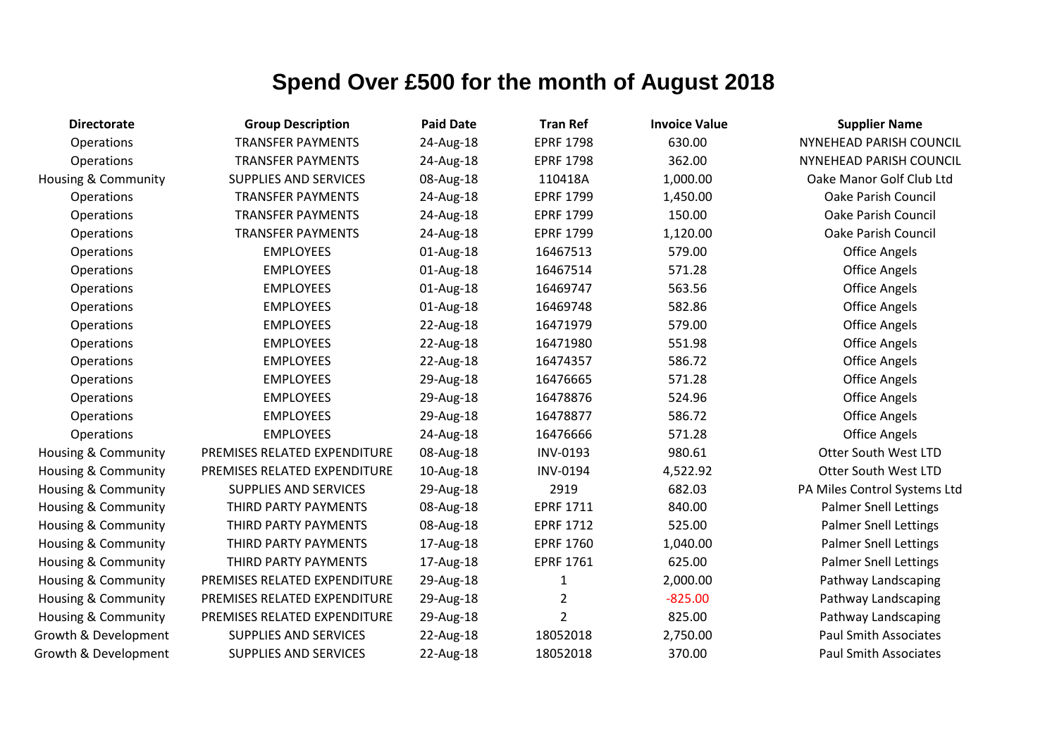| <b>Directorate</b>             | <b>Group Description</b>     | <b>Paid Date</b> | <b>Tran Ref</b>  | <b>Invoice Value</b> | <b>Supplier Name</b>         |
|--------------------------------|------------------------------|------------------|------------------|----------------------|------------------------------|
| Operations                     | <b>TRANSFER PAYMENTS</b>     | 24-Aug-18        | <b>EPRF 1798</b> | 630.00               | NYNEHEAD PARISH COUNCIL      |
| Operations                     | <b>TRANSFER PAYMENTS</b>     | 24-Aug-18        | <b>EPRF 1798</b> | 362.00               | NYNEHEAD PARISH COUNCIL      |
| <b>Housing &amp; Community</b> | <b>SUPPLIES AND SERVICES</b> | 08-Aug-18        | 110418A          | 1,000.00             | Oake Manor Golf Club Ltd     |
| Operations                     | <b>TRANSFER PAYMENTS</b>     | 24-Aug-18        | <b>EPRF 1799</b> | 1,450.00             | <b>Oake Parish Council</b>   |
| Operations                     | <b>TRANSFER PAYMENTS</b>     | 24-Aug-18        | <b>EPRF 1799</b> | 150.00               | Oake Parish Council          |
| Operations                     | <b>TRANSFER PAYMENTS</b>     | 24-Aug-18        | <b>EPRF 1799</b> | 1,120.00             | <b>Oake Parish Council</b>   |
| Operations                     | <b>EMPLOYEES</b>             | 01-Aug-18        | 16467513         | 579.00               | <b>Office Angels</b>         |
| Operations                     | <b>EMPLOYEES</b>             | 01-Aug-18        | 16467514         | 571.28               | <b>Office Angels</b>         |
| Operations                     | <b>EMPLOYEES</b>             | 01-Aug-18        | 16469747         | 563.56               | <b>Office Angels</b>         |
| Operations                     | <b>EMPLOYEES</b>             | 01-Aug-18        | 16469748         | 582.86               | <b>Office Angels</b>         |
| Operations                     | <b>EMPLOYEES</b>             | 22-Aug-18        | 16471979         | 579.00               | <b>Office Angels</b>         |
| Operations                     | <b>EMPLOYEES</b>             | 22-Aug-18        | 16471980         | 551.98               | <b>Office Angels</b>         |
| Operations                     | <b>EMPLOYEES</b>             | 22-Aug-18        | 16474357         | 586.72               | <b>Office Angels</b>         |
| Operations                     | <b>EMPLOYEES</b>             | 29-Aug-18        | 16476665         | 571.28               | <b>Office Angels</b>         |
| Operations                     | <b>EMPLOYEES</b>             | 29-Aug-18        | 16478876         | 524.96               | <b>Office Angels</b>         |
| Operations                     | <b>EMPLOYEES</b>             | 29-Aug-18        | 16478877         | 586.72               | <b>Office Angels</b>         |
| Operations                     | <b>EMPLOYEES</b>             | 24-Aug-18        | 16476666         | 571.28               | <b>Office Angels</b>         |
| <b>Housing &amp; Community</b> | PREMISES RELATED EXPENDITURE | 08-Aug-18        | INV-0193         | 980.61               | <b>Otter South West LTD</b>  |
| Housing & Community            | PREMISES RELATED EXPENDITURE | 10-Aug-18        | <b>INV-0194</b>  | 4,522.92             | <b>Otter South West LTD</b>  |
| Housing & Community            | <b>SUPPLIES AND SERVICES</b> | 29-Aug-18        | 2919             | 682.03               | PA Miles Control Systems Ltd |
| <b>Housing &amp; Community</b> | THIRD PARTY PAYMENTS         | 08-Aug-18        | <b>EPRF 1711</b> | 840.00               | <b>Palmer Snell Lettings</b> |
| <b>Housing &amp; Community</b> | THIRD PARTY PAYMENTS         | 08-Aug-18        | <b>EPRF 1712</b> | 525.00               | <b>Palmer Snell Lettings</b> |
| Housing & Community            | THIRD PARTY PAYMENTS         | 17-Aug-18        | <b>EPRF 1760</b> | 1,040.00             | <b>Palmer Snell Lettings</b> |
| <b>Housing &amp; Community</b> | THIRD PARTY PAYMENTS         | 17-Aug-18        | <b>EPRF 1761</b> | 625.00               | <b>Palmer Snell Lettings</b> |
| <b>Housing &amp; Community</b> | PREMISES RELATED EXPENDITURE | 29-Aug-18        | 1                | 2,000.00             | Pathway Landscaping          |
| <b>Housing &amp; Community</b> | PREMISES RELATED EXPENDITURE | 29-Aug-18        | 2                | $-825.00$            | Pathway Landscaping          |
| <b>Housing &amp; Community</b> | PREMISES RELATED EXPENDITURE | 29-Aug-18        | $\overline{2}$   | 825.00               | Pathway Landscaping          |
| Growth & Development           | <b>SUPPLIES AND SERVICES</b> | 22-Aug-18        | 18052018         | 2,750.00             | <b>Paul Smith Associates</b> |
| Growth & Development           | <b>SUPPLIES AND SERVICES</b> | 22-Aug-18        | 18052018         | 370.00               | <b>Paul Smith Associates</b> |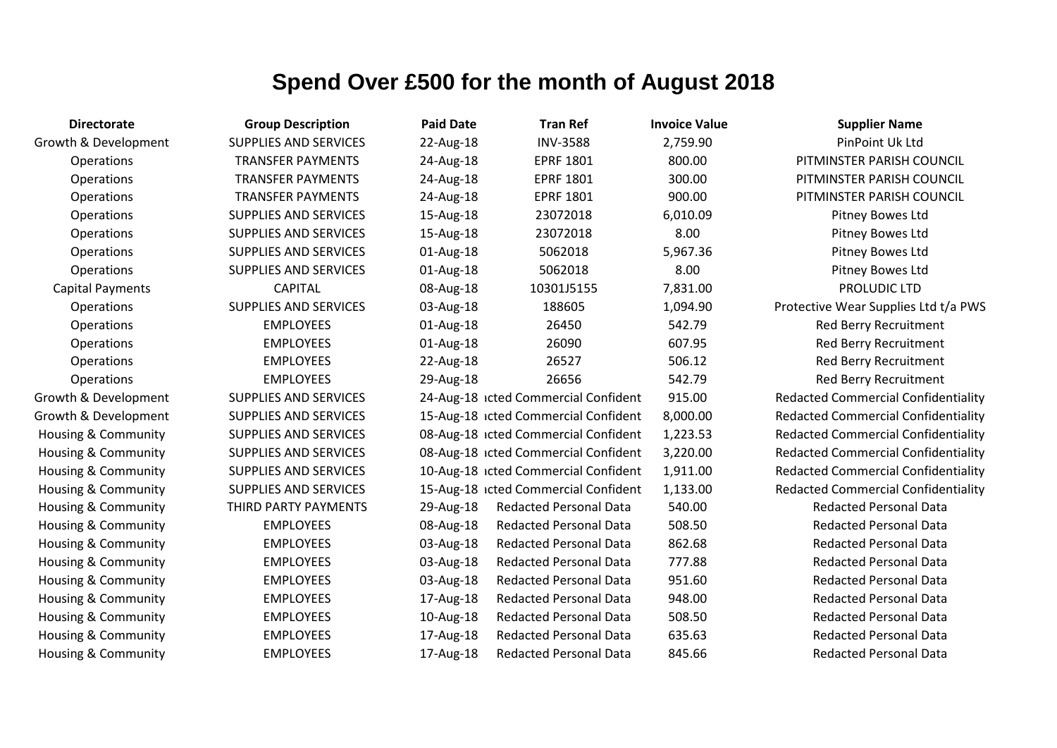| <b>Directorate</b>             | <b>Group Description</b>     | <b>Paid Date</b> | <b>Tran Ref</b>                      | <b>Invoice Value</b> | <b>Supplier Name</b>                       |
|--------------------------------|------------------------------|------------------|--------------------------------------|----------------------|--------------------------------------------|
| Growth & Development           | <b>SUPPLIES AND SERVICES</b> | 22-Aug-18        | <b>INV-3588</b>                      | 2,759.90             | PinPoint Uk Ltd                            |
| Operations                     | <b>TRANSFER PAYMENTS</b>     | 24-Aug-18        | <b>EPRF 1801</b>                     | 800.00               | PITMINSTER PARISH COUNCIL                  |
| Operations                     | <b>TRANSFER PAYMENTS</b>     | 24-Aug-18        | <b>EPRF 1801</b>                     | 300.00               | PITMINSTER PARISH COUNCIL                  |
| Operations                     | <b>TRANSFER PAYMENTS</b>     | 24-Aug-18        | <b>EPRF 1801</b>                     | 900.00               | PITMINSTER PARISH COUNCIL                  |
| Operations                     | <b>SUPPLIES AND SERVICES</b> | 15-Aug-18        | 23072018                             | 6,010.09             | Pitney Bowes Ltd                           |
| Operations                     | <b>SUPPLIES AND SERVICES</b> | 15-Aug-18        | 23072018                             | 8.00                 | Pitney Bowes Ltd                           |
| Operations                     | <b>SUPPLIES AND SERVICES</b> | 01-Aug-18        | 5062018                              | 5,967.36             | Pitney Bowes Ltd                           |
| Operations                     | <b>SUPPLIES AND SERVICES</b> | 01-Aug-18        | 5062018                              | 8.00                 | Pitney Bowes Ltd                           |
| <b>Capital Payments</b>        | <b>CAPITAL</b>               | 08-Aug-18        | 10301J5155                           | 7,831.00             | PROLUDIC LTD                               |
| Operations                     | <b>SUPPLIES AND SERVICES</b> | 03-Aug-18        | 188605                               | 1,094.90             | Protective Wear Supplies Ltd t/a PWS       |
| Operations                     | <b>EMPLOYEES</b>             | 01-Aug-18        | 26450                                | 542.79               | Red Berry Recruitment                      |
| Operations                     | <b>EMPLOYEES</b>             | 01-Aug-18        | 26090                                | 607.95               | <b>Red Berry Recruitment</b>               |
| Operations                     | <b>EMPLOYEES</b>             | 22-Aug-18        | 26527                                | 506.12               | <b>Red Berry Recruitment</b>               |
| Operations                     | <b>EMPLOYEES</b>             | 29-Aug-18        | 26656                                | 542.79               | Red Berry Recruitment                      |
| Growth & Development           | <b>SUPPLIES AND SERVICES</b> |                  | 24-Aug-18 icted Commercial Confident | 915.00               | <b>Redacted Commercial Confidentiality</b> |
| Growth & Development           | <b>SUPPLIES AND SERVICES</b> |                  | 15-Aug-18 icted Commercial Confident | 8,000.00             | <b>Redacted Commercial Confidentiality</b> |
| <b>Housing &amp; Community</b> | <b>SUPPLIES AND SERVICES</b> |                  | 08-Aug-18 icted Commercial Confident | 1,223.53             | <b>Redacted Commercial Confidentiality</b> |
| Housing & Community            | <b>SUPPLIES AND SERVICES</b> |                  | 08-Aug-18 icted Commercial Confident | 3,220.00             | <b>Redacted Commercial Confidentiality</b> |
| Housing & Community            | <b>SUPPLIES AND SERVICES</b> |                  | 10-Aug-18 icted Commercial Confident | 1,911.00             | <b>Redacted Commercial Confidentiality</b> |
| Housing & Community            | <b>SUPPLIES AND SERVICES</b> |                  | 15-Aug-18 icted Commercial Confident | 1,133.00             | <b>Redacted Commercial Confidentiality</b> |
| Housing & Community            | THIRD PARTY PAYMENTS         | 29-Aug-18        | <b>Redacted Personal Data</b>        | 540.00               | <b>Redacted Personal Data</b>              |
| Housing & Community            | <b>EMPLOYEES</b>             | 08-Aug-18        | <b>Redacted Personal Data</b>        | 508.50               | <b>Redacted Personal Data</b>              |
| Housing & Community            | <b>EMPLOYEES</b>             | 03-Aug-18        | <b>Redacted Personal Data</b>        | 862.68               | <b>Redacted Personal Data</b>              |
| Housing & Community            | <b>EMPLOYEES</b>             | 03-Aug-18        | <b>Redacted Personal Data</b>        | 777.88               | <b>Redacted Personal Data</b>              |
| Housing & Community            | <b>EMPLOYEES</b>             | 03-Aug-18        | <b>Redacted Personal Data</b>        | 951.60               | <b>Redacted Personal Data</b>              |
| Housing & Community            | <b>EMPLOYEES</b>             | 17-Aug-18        | <b>Redacted Personal Data</b>        | 948.00               | <b>Redacted Personal Data</b>              |
| Housing & Community            | <b>EMPLOYEES</b>             | 10-Aug-18        | <b>Redacted Personal Data</b>        | 508.50               | <b>Redacted Personal Data</b>              |
| Housing & Community            | <b>EMPLOYEES</b>             | 17-Aug-18        | <b>Redacted Personal Data</b>        | 635.63               | <b>Redacted Personal Data</b>              |
| Housing & Community            | <b>EMPLOYEES</b>             | 17-Aug-18        | <b>Redacted Personal Data</b>        | 845.66               | <b>Redacted Personal Data</b>              |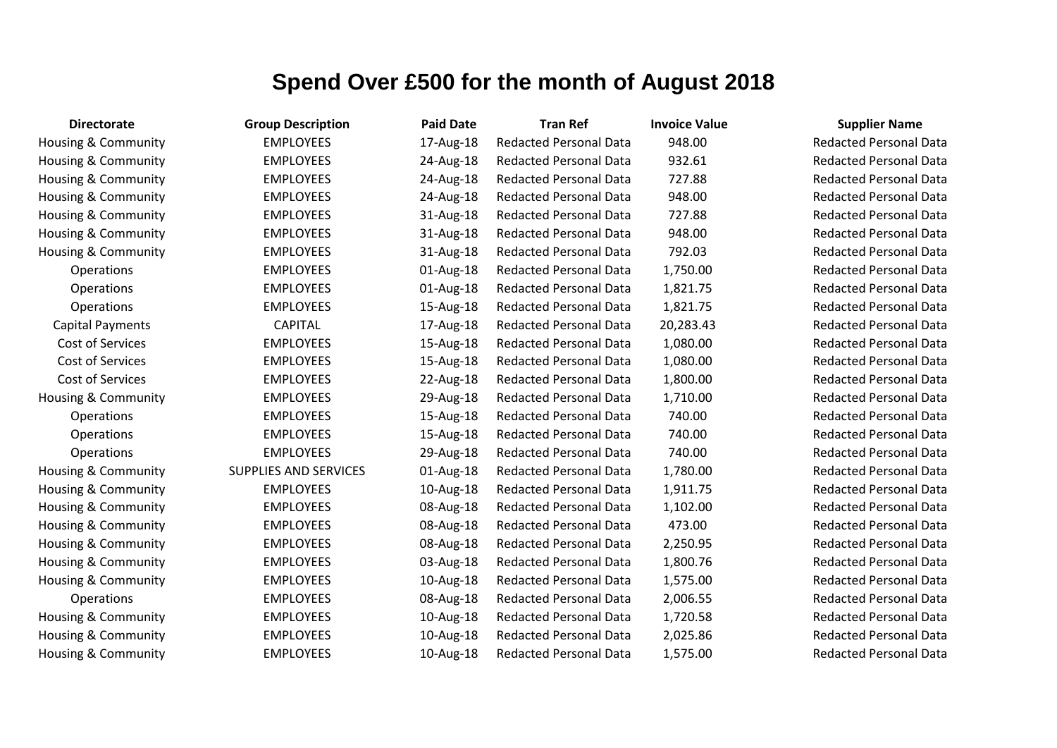| <b>Directorate</b>             | <b>Group Description</b>     | <b>Paid Date</b> | <b>Tran Ref</b>               | <b>Invoice Value</b> | <b>Supplier Name</b>     |
|--------------------------------|------------------------------|------------------|-------------------------------|----------------------|--------------------------|
| <b>Housing &amp; Community</b> | <b>EMPLOYEES</b>             | 17-Aug-18        | <b>Redacted Personal Data</b> | 948.00               | <b>Redacted Personal</b> |
| Housing & Community            | <b>EMPLOYEES</b>             | 24-Aug-18        | <b>Redacted Personal Data</b> | 932.61               | <b>Redacted Personal</b> |
| Housing & Community            | <b>EMPLOYEES</b>             | 24-Aug-18        | Redacted Personal Data        | 727.88               | <b>Redacted Personal</b> |
| <b>Housing &amp; Community</b> | <b>EMPLOYEES</b>             | 24-Aug-18        | <b>Redacted Personal Data</b> | 948.00               | <b>Redacted Personal</b> |
| Housing & Community            | <b>EMPLOYEES</b>             | 31-Aug-18        | <b>Redacted Personal Data</b> | 727.88               | <b>Redacted Personal</b> |
| Housing & Community            | <b>EMPLOYEES</b>             | 31-Aug-18        | <b>Redacted Personal Data</b> | 948.00               | Redacted Personal        |
| <b>Housing &amp; Community</b> | <b>EMPLOYEES</b>             | 31-Aug-18        | <b>Redacted Personal Data</b> | 792.03               | <b>Redacted Personal</b> |
| Operations                     | <b>EMPLOYEES</b>             | 01-Aug-18        | <b>Redacted Personal Data</b> | 1,750.00             | <b>Redacted Personal</b> |
| Operations                     | <b>EMPLOYEES</b>             | 01-Aug-18        | <b>Redacted Personal Data</b> | 1,821.75             | <b>Redacted Personal</b> |
| Operations                     | <b>EMPLOYEES</b>             | 15-Aug-18        | <b>Redacted Personal Data</b> | 1,821.75             | Redacted Personal        |
| <b>Capital Payments</b>        | <b>CAPITAL</b>               | 17-Aug-18        | <b>Redacted Personal Data</b> | 20,283.43            | <b>Redacted Personal</b> |
| Cost of Services               | <b>EMPLOYEES</b>             | 15-Aug-18        | <b>Redacted Personal Data</b> | 1,080.00             | <b>Redacted Personal</b> |
| Cost of Services               | <b>EMPLOYEES</b>             | 15-Aug-18        | <b>Redacted Personal Data</b> | 1,080.00             | <b>Redacted Personal</b> |
| Cost of Services               | <b>EMPLOYEES</b>             | 22-Aug-18        | <b>Redacted Personal Data</b> | 1,800.00             | <b>Redacted Personal</b> |
| Housing & Community            | <b>EMPLOYEES</b>             | 29-Aug-18        | <b>Redacted Personal Data</b> | 1,710.00             | <b>Redacted Personal</b> |
| Operations                     | <b>EMPLOYEES</b>             | 15-Aug-18        | <b>Redacted Personal Data</b> | 740.00               | <b>Redacted Personal</b> |
| Operations                     | <b>EMPLOYEES</b>             | 15-Aug-18        | Redacted Personal Data        | 740.00               | <b>Redacted Personal</b> |
| Operations                     | <b>EMPLOYEES</b>             | 29-Aug-18        | <b>Redacted Personal Data</b> | 740.00               | <b>Redacted Personal</b> |
| Housing & Community            | <b>SUPPLIES AND SERVICES</b> | 01-Aug-18        | <b>Redacted Personal Data</b> | 1,780.00             | <b>Redacted Personal</b> |
| <b>Housing &amp; Community</b> | <b>EMPLOYEES</b>             | 10-Aug-18        | <b>Redacted Personal Data</b> | 1,911.75             | <b>Redacted Personal</b> |
| Housing & Community            | <b>EMPLOYEES</b>             | 08-Aug-18        | Redacted Personal Data        | 1,102.00             | <b>Redacted Personal</b> |
| Housing & Community            | <b>EMPLOYEES</b>             | 08-Aug-18        | <b>Redacted Personal Data</b> | 473.00               | <b>Redacted Personal</b> |
| Housing & Community            | <b>EMPLOYEES</b>             | 08-Aug-18        | <b>Redacted Personal Data</b> | 2,250.95             | Redacted Personal        |
| Housing & Community            | <b>EMPLOYEES</b>             | 03-Aug-18        | <b>Redacted Personal Data</b> | 1,800.76             | <b>Redacted Personal</b> |
| Housing & Community            | <b>EMPLOYEES</b>             | 10-Aug-18        | <b>Redacted Personal Data</b> | 1,575.00             | <b>Redacted Personal</b> |
| Operations                     | <b>EMPLOYEES</b>             | 08-Aug-18        | <b>Redacted Personal Data</b> | 2,006.55             | <b>Redacted Personal</b> |
| Housing & Community            | <b>EMPLOYEES</b>             | 10-Aug-18        | <b>Redacted Personal Data</b> | 1,720.58             | <b>Redacted Personal</b> |
| <b>Housing &amp; Community</b> | <b>EMPLOYEES</b>             | 10-Aug-18        | <b>Redacted Personal Data</b> | 2,025.86             | <b>Redacted Personal</b> |
| Housing & Community            | <b>EMPLOYEES</b>             | 10-Aug-18        | <b>Redacted Personal Data</b> | 1,575.00             | <b>Redacted Personal</b> |

Redacted Personal Data Redacted Personal Data Redacted Personal Data Redacted Personal Data Redacted Personal Data Redacted Personal Data Redacted Personal Data **Redacted Personal Data Redacted Personal Data Redacted Personal Data Redacted Personal Data** Redacted Personal Data Redacted Personal Data Redacted Personal Data Redacted Personal Data **Redacted Personal Data Redacted Personal Data Redacted Personal Data** Redacted Personal Data Redacted Personal Data Redacted Personal Data Redacted Personal Data Redacted Personal Data Redacted Personal Data Redacted Personal Data Redacted Personal Data Redacted Personal Data Redacted Personal Data Redacted Personal Data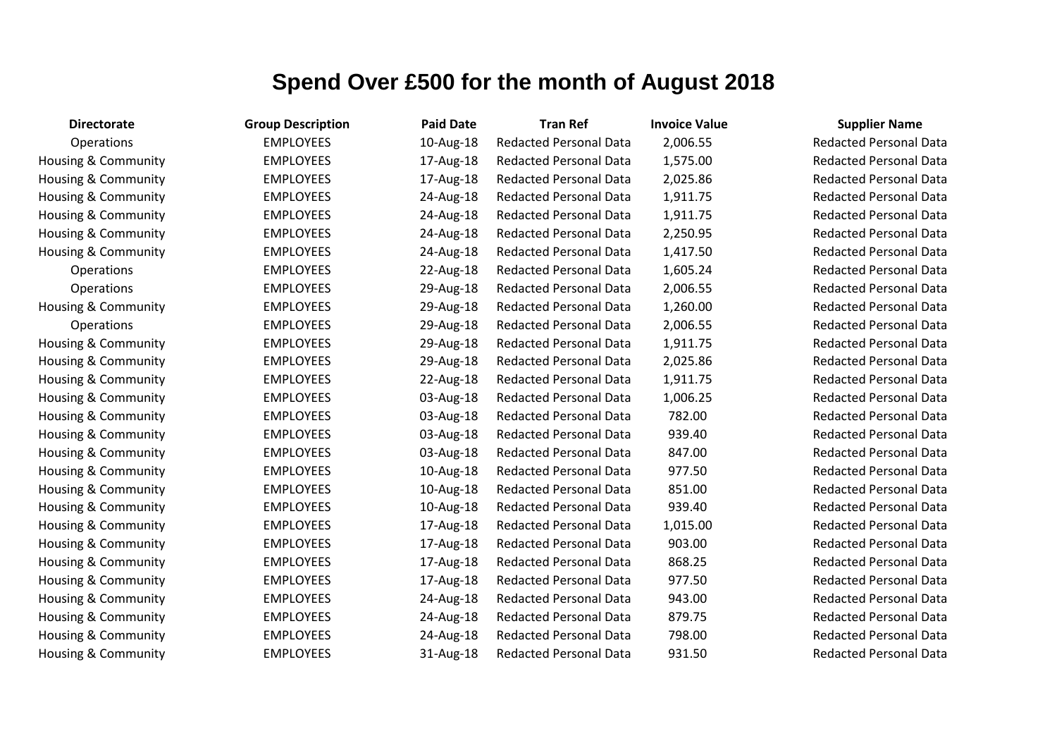| <b>Directorate</b>             | <b>Group Description</b> | <b>Paid Date</b> | <b>Tran Ref</b>               | <b>Invoice Value</b> | <b>Supplier Name</b>     |
|--------------------------------|--------------------------|------------------|-------------------------------|----------------------|--------------------------|
| Operations                     | <b>EMPLOYEES</b>         | 10-Aug-18        | <b>Redacted Personal Data</b> | 2,006.55             | <b>Redacted Personal</b> |
| Housing & Community            | <b>EMPLOYEES</b>         | 17-Aug-18        | <b>Redacted Personal Data</b> | 1,575.00             | <b>Redacted Personal</b> |
| Housing & Community            | <b>EMPLOYEES</b>         | 17-Aug-18        | <b>Redacted Personal Data</b> | 2,025.86             | Redacted Personal        |
| Housing & Community            | <b>EMPLOYEES</b>         | 24-Aug-18        | <b>Redacted Personal Data</b> | 1,911.75             | <b>Redacted Personal</b> |
| Housing & Community            | <b>EMPLOYEES</b>         | 24-Aug-18        | <b>Redacted Personal Data</b> | 1,911.75             | <b>Redacted Personal</b> |
| Housing & Community            | <b>EMPLOYEES</b>         | 24-Aug-18        | <b>Redacted Personal Data</b> | 2,250.95             | <b>Redacted Personal</b> |
| Housing & Community            | <b>EMPLOYEES</b>         | 24-Aug-18        | <b>Redacted Personal Data</b> | 1,417.50             | <b>Redacted Personal</b> |
| Operations                     | <b>EMPLOYEES</b>         | 22-Aug-18        | <b>Redacted Personal Data</b> | 1,605.24             | <b>Redacted Personal</b> |
| Operations                     | <b>EMPLOYEES</b>         | 29-Aug-18        | <b>Redacted Personal Data</b> | 2,006.55             | <b>Redacted Personal</b> |
| <b>Housing &amp; Community</b> | <b>EMPLOYEES</b>         | 29-Aug-18        | <b>Redacted Personal Data</b> | 1,260.00             | Redacted Personal        |
| <b>Operations</b>              | <b>EMPLOYEES</b>         | 29-Aug-18        | <b>Redacted Personal Data</b> | 2,006.55             | <b>Redacted Personal</b> |
| Housing & Community            | <b>EMPLOYEES</b>         | 29-Aug-18        | <b>Redacted Personal Data</b> | 1,911.75             | <b>Redacted Personal</b> |
| Housing & Community            | <b>EMPLOYEES</b>         | 29-Aug-18        | <b>Redacted Personal Data</b> | 2,025.86             | <b>Redacted Personal</b> |
| Housing & Community            | <b>EMPLOYEES</b>         | 22-Aug-18        | <b>Redacted Personal Data</b> | 1,911.75             | <b>Redacted Personal</b> |
| Housing & Community            | <b>EMPLOYEES</b>         | 03-Aug-18        | <b>Redacted Personal Data</b> | 1,006.25             | <b>Redacted Personal</b> |
| Housing & Community            | <b>EMPLOYEES</b>         | 03-Aug-18        | <b>Redacted Personal Data</b> | 782.00               | <b>Redacted Personal</b> |
| <b>Housing &amp; Community</b> | <b>EMPLOYEES</b>         | 03-Aug-18        | <b>Redacted Personal Data</b> | 939.40               | <b>Redacted Personal</b> |
| Housing & Community            | <b>EMPLOYEES</b>         | 03-Aug-18        | <b>Redacted Personal Data</b> | 847.00               | <b>Redacted Personal</b> |
| Housing & Community            | <b>EMPLOYEES</b>         | 10-Aug-18        | <b>Redacted Personal Data</b> | 977.50               | <b>Redacted Personal</b> |
| Housing & Community            | <b>EMPLOYEES</b>         | 10-Aug-18        | <b>Redacted Personal Data</b> | 851.00               | Redacted Personal        |
| Housing & Community            | <b>EMPLOYEES</b>         | 10-Aug-18        | <b>Redacted Personal Data</b> | 939.40               | <b>Redacted Personal</b> |
| Housing & Community            | <b>EMPLOYEES</b>         | 17-Aug-18        | <b>Redacted Personal Data</b> | 1,015.00             | <b>Redacted Personal</b> |
| Housing & Community            | <b>EMPLOYEES</b>         | 17-Aug-18        | <b>Redacted Personal Data</b> | 903.00               | Redacted Personal        |
| Housing & Community            | <b>EMPLOYEES</b>         | 17-Aug-18        | <b>Redacted Personal Data</b> | 868.25               | <b>Redacted Personal</b> |
| Housing & Community            | <b>EMPLOYEES</b>         | 17-Aug-18        | <b>Redacted Personal Data</b> | 977.50               | <b>Redacted Personal</b> |
| Housing & Community            | <b>EMPLOYEES</b>         | 24-Aug-18        | <b>Redacted Personal Data</b> | 943.00               | Redacted Personal        |
| Housing & Community            | <b>EMPLOYEES</b>         | 24-Aug-18        | <b>Redacted Personal Data</b> | 879.75               | <b>Redacted Personal</b> |
| Housing & Community            | <b>EMPLOYEES</b>         | 24-Aug-18        | <b>Redacted Personal Data</b> | 798.00               | <b>Redacted Personal</b> |
| Housing & Community            | <b>EMPLOYEES</b>         | 31-Aug-18        | <b>Redacted Personal Data</b> | 931.50               | <b>Redacted Personal</b> |
|                                |                          |                  |                               |                      |                          |

**Redacted Personal Data** Redacted Personal Data Redacted Personal Data Redacted Personal Data Redacted Personal Data Redacted Personal Data Redacted Personal Data **Redacted Personal Data Redacted Personal Data** Redacted Personal Data **Redacted Personal Data** Redacted Personal Data Redacted Personal Data Redacted Personal Data Redacted Personal Data Redacted Personal Data Redacted Personal Data Redacted Personal Data Redacted Personal Data Redacted Personal Data Redacted Personal Data Redacted Personal Data Redacted Personal Data Redacted Personal Data Redacted Personal Data Redacted Personal Data Redacted Personal Data Redacted Personal Data Redacted Personal Data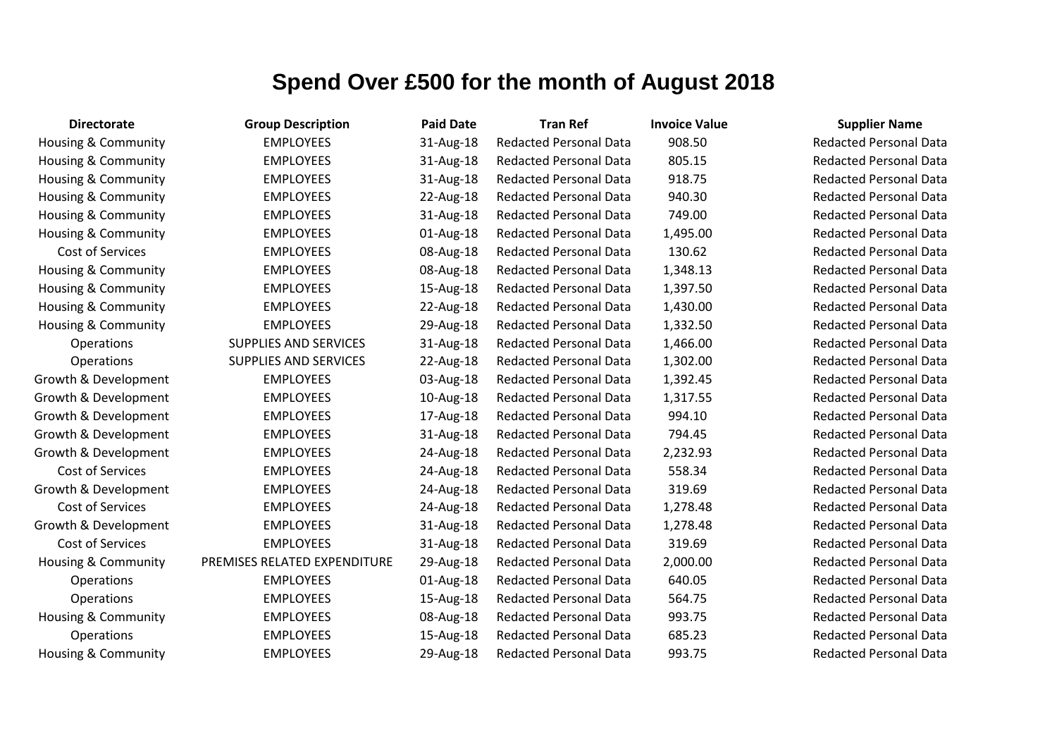| <b>Directorate</b>             | <b>Group Description</b>     | <b>Paid Date</b> | <b>Tran Ref</b>               | <b>Invoice Value</b> | <b>Supplier Name</b>     |
|--------------------------------|------------------------------|------------------|-------------------------------|----------------------|--------------------------|
| Housing & Community            | <b>EMPLOYEES</b>             | 31-Aug-18        | <b>Redacted Personal Data</b> | 908.50               | <b>Redacted Personal</b> |
| Housing & Community            | <b>EMPLOYEES</b>             | 31-Aug-18        | <b>Redacted Personal Data</b> | 805.15               | Redacted Personal        |
| Housing & Community            | <b>EMPLOYEES</b>             | 31-Aug-18        | <b>Redacted Personal Data</b> | 918.75               | <b>Redacted Personal</b> |
| Housing & Community            | <b>EMPLOYEES</b>             | 22-Aug-18        | <b>Redacted Personal Data</b> | 940.30               | <b>Redacted Personal</b> |
| Housing & Community            | <b>EMPLOYEES</b>             | 31-Aug-18        | <b>Redacted Personal Data</b> | 749.00               | <b>Redacted Personal</b> |
| Housing & Community            | <b>EMPLOYEES</b>             | 01-Aug-18        | <b>Redacted Personal Data</b> | 1,495.00             | <b>Redacted Personal</b> |
| Cost of Services               | <b>EMPLOYEES</b>             | 08-Aug-18        | <b>Redacted Personal Data</b> | 130.62               | <b>Redacted Personal</b> |
| Housing & Community            | <b>EMPLOYEES</b>             | 08-Aug-18        | <b>Redacted Personal Data</b> | 1,348.13             | <b>Redacted Personal</b> |
| <b>Housing &amp; Community</b> | <b>EMPLOYEES</b>             | 15-Aug-18        | <b>Redacted Personal Data</b> | 1,397.50             | <b>Redacted Personal</b> |
| Housing & Community            | <b>EMPLOYEES</b>             | 22-Aug-18        | <b>Redacted Personal Data</b> | 1,430.00             | <b>Redacted Personal</b> |
| Housing & Community            | <b>EMPLOYEES</b>             | 29-Aug-18        | <b>Redacted Personal Data</b> | 1,332.50             | <b>Redacted Personal</b> |
| Operations                     | <b>SUPPLIES AND SERVICES</b> | 31-Aug-18        | <b>Redacted Personal Data</b> | 1,466.00             | <b>Redacted Personal</b> |
| Operations                     | SUPPLIES AND SERVICES        | 22-Aug-18        | <b>Redacted Personal Data</b> | 1,302.00             | <b>Redacted Personal</b> |
| Growth & Development           | <b>EMPLOYEES</b>             | 03-Aug-18        | <b>Redacted Personal Data</b> | 1,392.45             | <b>Redacted Personal</b> |
| Growth & Development           | <b>EMPLOYEES</b>             | 10-Aug-18        | <b>Redacted Personal Data</b> | 1,317.55             | <b>Redacted Personal</b> |
| Growth & Development           | <b>EMPLOYEES</b>             | 17-Aug-18        | <b>Redacted Personal Data</b> | 994.10               | <b>Redacted Personal</b> |
| Growth & Development           | <b>EMPLOYEES</b>             | 31-Aug-18        | <b>Redacted Personal Data</b> | 794.45               | <b>Redacted Personal</b> |
| Growth & Development           | <b>EMPLOYEES</b>             | 24-Aug-18        | <b>Redacted Personal Data</b> | 2,232.93             | <b>Redacted Personal</b> |
| Cost of Services               | <b>EMPLOYEES</b>             | 24-Aug-18        | <b>Redacted Personal Data</b> | 558.34               | <b>Redacted Personal</b> |
| Growth & Development           | <b>EMPLOYEES</b>             | 24-Aug-18        | <b>Redacted Personal Data</b> | 319.69               | <b>Redacted Personal</b> |
| Cost of Services               | <b>EMPLOYEES</b>             | 24-Aug-18        | <b>Redacted Personal Data</b> | 1,278.48             | <b>Redacted Personal</b> |
| Growth & Development           | <b>EMPLOYEES</b>             | 31-Aug-18        | <b>Redacted Personal Data</b> | 1,278.48             | <b>Redacted Personal</b> |
| Cost of Services               | <b>EMPLOYEES</b>             | 31-Aug-18        | <b>Redacted Personal Data</b> | 319.69               | Redacted Personal        |
| Housing & Community            | PREMISES RELATED EXPENDITURE | 29-Aug-18        | <b>Redacted Personal Data</b> | 2,000.00             | <b>Redacted Personal</b> |
| Operations                     | <b>EMPLOYEES</b>             | 01-Aug-18        | <b>Redacted Personal Data</b> | 640.05               | <b>Redacted Personal</b> |
| Operations                     | <b>EMPLOYEES</b>             | 15-Aug-18        | <b>Redacted Personal Data</b> | 564.75               | <b>Redacted Personal</b> |
| <b>Housing &amp; Community</b> | <b>EMPLOYEES</b>             | 08-Aug-18        | <b>Redacted Personal Data</b> | 993.75               | Redacted Personal        |
| Operations                     | <b>EMPLOYEES</b>             | 15-Aug-18        | <b>Redacted Personal Data</b> | 685.23               | <b>Redacted Personal</b> |
| <b>Housing &amp; Community</b> | <b>EMPLOYEES</b>             | 29-Aug-18        | <b>Redacted Personal Data</b> | 993.75               | <b>Redacted Personal</b> |

Redacted Personal Data Redacted Personal Data Redacted Personal Data Redacted Personal Data Redacted Personal Data Redacted Personal Data Redacted Personal Data Redacted Personal Data Redacted Personal Data Redacted Personal Data Redacted Personal Data **Redacted Personal Data Redacted Personal Data Redacted Personal Data Redacted Personal Data Redacted Personal Data Redacted Personal Data Bedacted Personal Data Redacted Personal Data Redacted Personal Data** Redacted Personal Data **Redacted Personal Data** Redacted Personal Data Redacted Personal Data **Redacted Personal Data** Redacted Personal Data Redacted Personal Data **Redacted Personal Data** Redacted Personal Data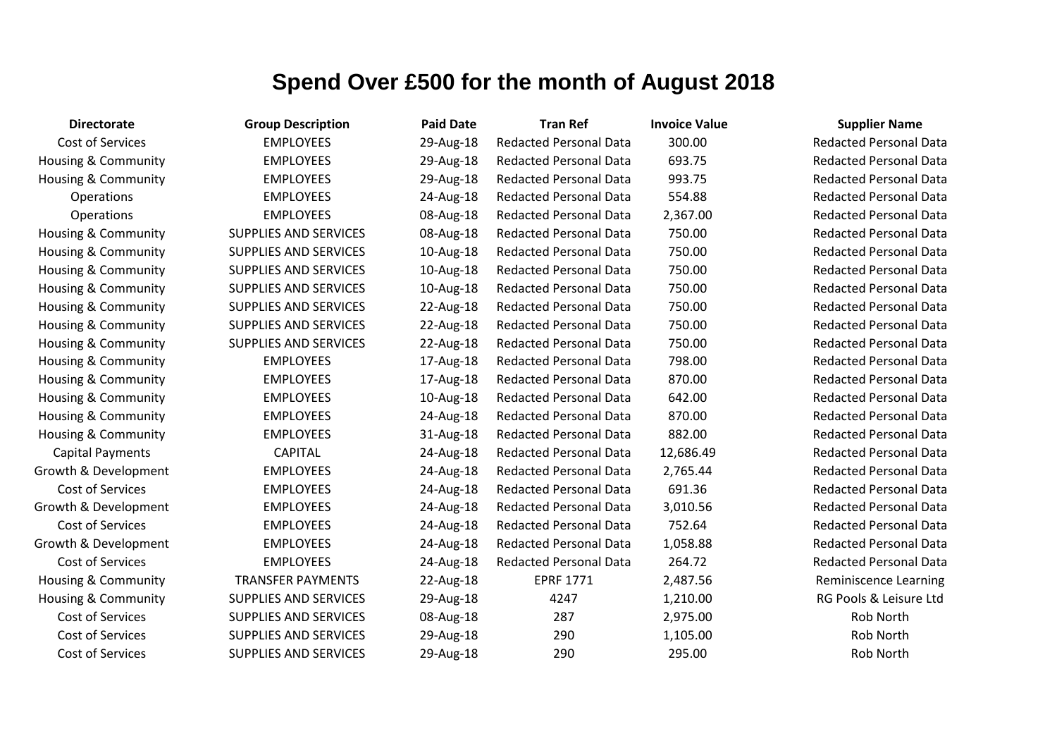| <b>Directorate</b>             | <b>Group Description</b>     | <b>Paid Date</b> | <b>Tran Ref</b>               | <b>Invoice Value</b> | <b>Supplier Name</b>          |
|--------------------------------|------------------------------|------------------|-------------------------------|----------------------|-------------------------------|
| Cost of Services               | <b>EMPLOYEES</b>             | 29-Aug-18        | <b>Redacted Personal Data</b> | 300.00               | <b>Redacted Personal Data</b> |
| <b>Housing &amp; Community</b> | <b>EMPLOYEES</b>             | 29-Aug-18        | <b>Redacted Personal Data</b> | 693.75               | <b>Redacted Personal Data</b> |
| Housing & Community            | <b>EMPLOYEES</b>             | 29-Aug-18        | <b>Redacted Personal Data</b> | 993.75               | <b>Redacted Personal Data</b> |
| Operations                     | <b>EMPLOYEES</b>             | 24-Aug-18        | <b>Redacted Personal Data</b> | 554.88               | <b>Redacted Personal Data</b> |
| Operations                     | <b>EMPLOYEES</b>             | 08-Aug-18        | <b>Redacted Personal Data</b> | 2,367.00             | <b>Redacted Personal Data</b> |
| <b>Housing &amp; Community</b> | <b>SUPPLIES AND SERVICES</b> | 08-Aug-18        | <b>Redacted Personal Data</b> | 750.00               | <b>Redacted Personal Data</b> |
| <b>Housing &amp; Community</b> | <b>SUPPLIES AND SERVICES</b> | 10-Aug-18        | <b>Redacted Personal Data</b> | 750.00               | <b>Redacted Personal Data</b> |
| <b>Housing &amp; Community</b> | <b>SUPPLIES AND SERVICES</b> | 10-Aug-18        | <b>Redacted Personal Data</b> | 750.00               | <b>Redacted Personal Data</b> |
| <b>Housing &amp; Community</b> | <b>SUPPLIES AND SERVICES</b> | 10-Aug-18        | <b>Redacted Personal Data</b> | 750.00               | <b>Redacted Personal Data</b> |
| <b>Housing &amp; Community</b> | <b>SUPPLIES AND SERVICES</b> | 22-Aug-18        | <b>Redacted Personal Data</b> | 750.00               | <b>Redacted Personal Data</b> |
| <b>Housing &amp; Community</b> | <b>SUPPLIES AND SERVICES</b> | 22-Aug-18        | <b>Redacted Personal Data</b> | 750.00               | <b>Redacted Personal Data</b> |
| Housing & Community            | <b>SUPPLIES AND SERVICES</b> | 22-Aug-18        | <b>Redacted Personal Data</b> | 750.00               | <b>Redacted Personal Data</b> |
| <b>Housing &amp; Community</b> | <b>EMPLOYEES</b>             | 17-Aug-18        | <b>Redacted Personal Data</b> | 798.00               | <b>Redacted Personal Data</b> |
| <b>Housing &amp; Community</b> | <b>EMPLOYEES</b>             | 17-Aug-18        | <b>Redacted Personal Data</b> | 870.00               | <b>Redacted Personal Data</b> |
| Housing & Community            | <b>EMPLOYEES</b>             | 10-Aug-18        | <b>Redacted Personal Data</b> | 642.00               | <b>Redacted Personal Data</b> |
| <b>Housing &amp; Community</b> | <b>EMPLOYEES</b>             | 24-Aug-18        | <b>Redacted Personal Data</b> | 870.00               | <b>Redacted Personal Data</b> |
| <b>Housing &amp; Community</b> | <b>EMPLOYEES</b>             | 31-Aug-18        | <b>Redacted Personal Data</b> | 882.00               | <b>Redacted Personal Data</b> |
| <b>Capital Payments</b>        | <b>CAPITAL</b>               | 24-Aug-18        | <b>Redacted Personal Data</b> | 12,686.49            | <b>Redacted Personal Data</b> |
| Growth & Development           | <b>EMPLOYEES</b>             | 24-Aug-18        | <b>Redacted Personal Data</b> | 2,765.44             | <b>Redacted Personal Data</b> |
| Cost of Services               | <b>EMPLOYEES</b>             | 24-Aug-18        | <b>Redacted Personal Data</b> | 691.36               | <b>Redacted Personal Data</b> |
| Growth & Development           | <b>EMPLOYEES</b>             | 24-Aug-18        | <b>Redacted Personal Data</b> | 3,010.56             | <b>Redacted Personal Data</b> |
| Cost of Services               | <b>EMPLOYEES</b>             | 24-Aug-18        | <b>Redacted Personal Data</b> | 752.64               | <b>Redacted Personal Data</b> |
| Growth & Development           | <b>EMPLOYEES</b>             | 24-Aug-18        | <b>Redacted Personal Data</b> | 1,058.88             | <b>Redacted Personal Data</b> |
| Cost of Services               | <b>EMPLOYEES</b>             | 24-Aug-18        | <b>Redacted Personal Data</b> | 264.72               | <b>Redacted Personal Data</b> |
| Housing & Community            | <b>TRANSFER PAYMENTS</b>     | 22-Aug-18        | <b>EPRF 1771</b>              | 2,487.56             | <b>Reminiscence Learning</b>  |
| <b>Housing &amp; Community</b> | <b>SUPPLIES AND SERVICES</b> | 29-Aug-18        | 4247                          | 1,210.00             | RG Pools & Leisure Ltd        |
| Cost of Services               | <b>SUPPLIES AND SERVICES</b> | 08-Aug-18        | 287                           | 2,975.00             | Rob North                     |
| Cost of Services               | <b>SUPPLIES AND SERVICES</b> | 29-Aug-18        | 290                           | 1,105.00             | Rob North                     |
| Cost of Services               | <b>SUPPLIES AND SERVICES</b> | 29-Aug-18        | 290                           | 295.00               | Rob North                     |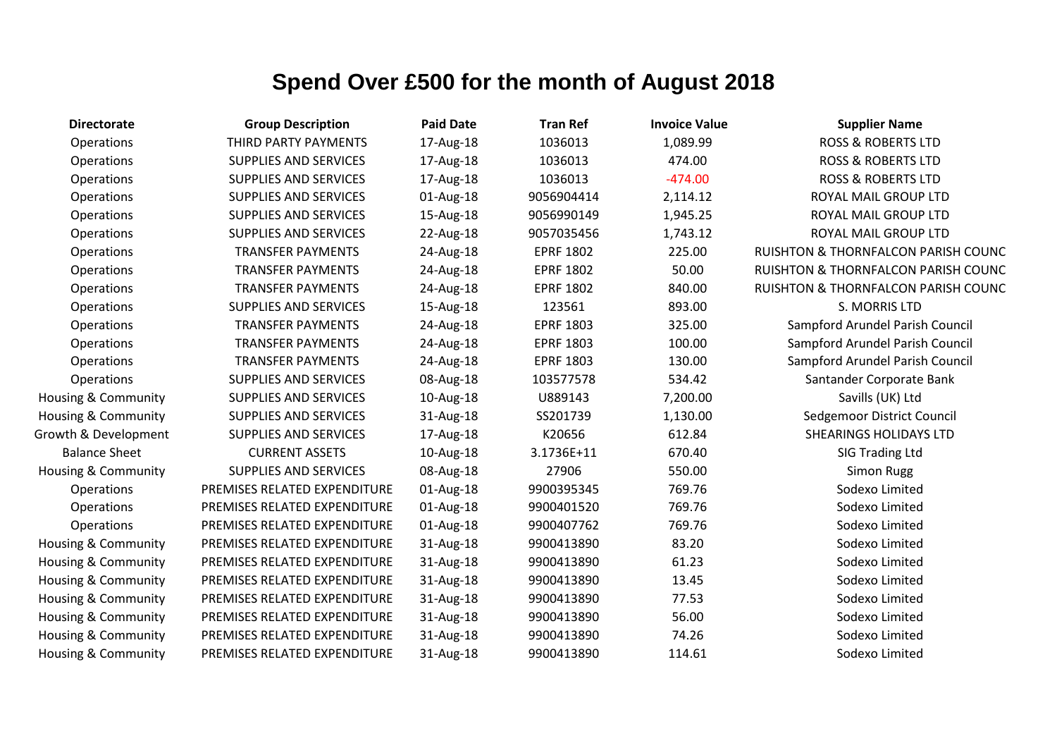| <b>Directorate</b>             | <b>Group Description</b>     | <b>Paid Date</b> | <b>Tran Ref</b>  | <b>Invoice Value</b> | <b>Supplier Name</b>                |
|--------------------------------|------------------------------|------------------|------------------|----------------------|-------------------------------------|
| Operations                     | THIRD PARTY PAYMENTS         | 17-Aug-18        | 1036013          | 1,089.99             | <b>ROSS &amp; ROBERTS LTD</b>       |
| Operations                     | <b>SUPPLIES AND SERVICES</b> | 17-Aug-18        | 1036013          | 474.00               | <b>ROSS &amp; ROBERTS LTD</b>       |
| Operations                     | <b>SUPPLIES AND SERVICES</b> | 17-Aug-18        | 1036013          | $-474.00$            | <b>ROSS &amp; ROBERTS LTD</b>       |
| Operations                     | <b>SUPPLIES AND SERVICES</b> | 01-Aug-18        | 9056904414       | 2,114.12             | ROYAL MAIL GROUP LTD                |
| Operations                     | <b>SUPPLIES AND SERVICES</b> | 15-Aug-18        | 9056990149       | 1,945.25             | ROYAL MAIL GROUP LTD                |
| Operations                     | <b>SUPPLIES AND SERVICES</b> | 22-Aug-18        | 9057035456       | 1,743.12             | ROYAL MAIL GROUP LTD                |
| Operations                     | <b>TRANSFER PAYMENTS</b>     | 24-Aug-18        | <b>EPRF 1802</b> | 225.00               | RUISHTON & THORNFALCON PARISH COUNC |
| Operations                     | <b>TRANSFER PAYMENTS</b>     | 24-Aug-18        | <b>EPRF 1802</b> | 50.00                | RUISHTON & THORNFALCON PARISH COUNC |
| Operations                     | <b>TRANSFER PAYMENTS</b>     | 24-Aug-18        | <b>EPRF 1802</b> | 840.00               | RUISHTON & THORNFALCON PARISH COUNC |
| Operations                     | <b>SUPPLIES AND SERVICES</b> | 15-Aug-18        | 123561           | 893.00               | S. MORRIS LTD                       |
| Operations                     | <b>TRANSFER PAYMENTS</b>     | 24-Aug-18        | <b>EPRF 1803</b> | 325.00               | Sampford Arundel Parish Council     |
| Operations                     | <b>TRANSFER PAYMENTS</b>     | 24-Aug-18        | <b>EPRF 1803</b> | 100.00               | Sampford Arundel Parish Council     |
| Operations                     | <b>TRANSFER PAYMENTS</b>     | 24-Aug-18        | <b>EPRF 1803</b> | 130.00               | Sampford Arundel Parish Council     |
| Operations                     | <b>SUPPLIES AND SERVICES</b> | 08-Aug-18        | 103577578        | 534.42               | Santander Corporate Bank            |
| <b>Housing &amp; Community</b> | <b>SUPPLIES AND SERVICES</b> | 10-Aug-18        | U889143          | 7,200.00             | Savills (UK) Ltd                    |
| <b>Housing &amp; Community</b> | <b>SUPPLIES AND SERVICES</b> | 31-Aug-18        | SS201739         | 1,130.00             | Sedgemoor District Council          |
| Growth & Development           | SUPPLIES AND SERVICES        | 17-Aug-18        | K20656           | 612.84               | <b>SHEARINGS HOLIDAYS LTD</b>       |
| <b>Balance Sheet</b>           | <b>CURRENT ASSETS</b>        | 10-Aug-18        | 3.1736E+11       | 670.40               | SIG Trading Ltd                     |
| Housing & Community            | <b>SUPPLIES AND SERVICES</b> | 08-Aug-18        | 27906            | 550.00               | <b>Simon Rugg</b>                   |
| Operations                     | PREMISES RELATED EXPENDITURE | 01-Aug-18        | 9900395345       | 769.76               | Sodexo Limited                      |
| Operations                     | PREMISES RELATED EXPENDITURE | 01-Aug-18        | 9900401520       | 769.76               | Sodexo Limited                      |
| Operations                     | PREMISES RELATED EXPENDITURE | 01-Aug-18        | 9900407762       | 769.76               | Sodexo Limited                      |
| <b>Housing &amp; Community</b> | PREMISES RELATED EXPENDITURE | 31-Aug-18        | 9900413890       | 83.20                | Sodexo Limited                      |
| Housing & Community            | PREMISES RELATED EXPENDITURE | 31-Aug-18        | 9900413890       | 61.23                | Sodexo Limited                      |
| Housing & Community            | PREMISES RELATED EXPENDITURE | 31-Aug-18        | 9900413890       | 13.45                | Sodexo Limited                      |
| <b>Housing &amp; Community</b> | PREMISES RELATED EXPENDITURE | 31-Aug-18        | 9900413890       | 77.53                | Sodexo Limited                      |
| <b>Housing &amp; Community</b> | PREMISES RELATED EXPENDITURE | 31-Aug-18        | 9900413890       | 56.00                | Sodexo Limited                      |
| Housing & Community            | PREMISES RELATED EXPENDITURE | 31-Aug-18        | 9900413890       | 74.26                | Sodexo Limited                      |
| Housing & Community            | PREMISES RELATED EXPENDITURE | 31-Aug-18        | 9900413890       | 114.61               | Sodexo Limited                      |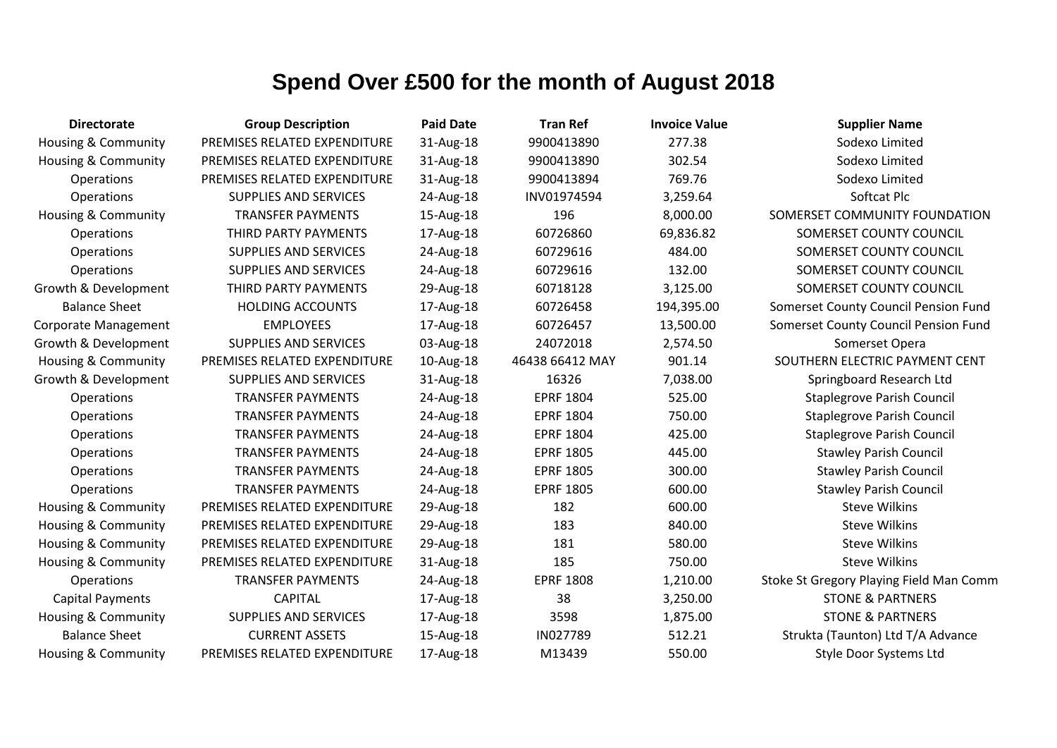| <b>Directorate</b>             | <b>Group Description</b>     | <b>Paid Date</b> | <b>Tran Ref</b>  | <b>Invoice Value</b> | <b>Supplier Name</b>                    |
|--------------------------------|------------------------------|------------------|------------------|----------------------|-----------------------------------------|
| <b>Housing &amp; Community</b> | PREMISES RELATED EXPENDITURE | 31-Aug-18        | 9900413890       | 277.38               | Sodexo Limited                          |
| Housing & Community            | PREMISES RELATED EXPENDITURE | 31-Aug-18        | 9900413890       | 302.54               | Sodexo Limited                          |
| Operations                     | PREMISES RELATED EXPENDITURE | 31-Aug-18        | 9900413894       | 769.76               | Sodexo Limited                          |
| Operations                     | <b>SUPPLIES AND SERVICES</b> | 24-Aug-18        | INV01974594      | 3,259.64             | Softcat Plc                             |
| <b>Housing &amp; Community</b> | <b>TRANSFER PAYMENTS</b>     | 15-Aug-18        | 196              | 8,000.00             | SOMERSET COMMUNITY FOUNDATION           |
| Operations                     | THIRD PARTY PAYMENTS         | 17-Aug-18        | 60726860         | 69,836.82            | SOMERSET COUNTY COUNCIL                 |
| <b>Operations</b>              | SUPPLIES AND SERVICES        | 24-Aug-18        | 60729616         | 484.00               | SOMERSET COUNTY COUNCIL                 |
| Operations                     | SUPPLIES AND SERVICES        | 24-Aug-18        | 60729616         | 132.00               | SOMERSET COUNTY COUNCIL                 |
| Growth & Development           | THIRD PARTY PAYMENTS         | 29-Aug-18        | 60718128         | 3,125.00             | SOMERSET COUNTY COUNCIL                 |
| <b>Balance Sheet</b>           | <b>HOLDING ACCOUNTS</b>      | 17-Aug-18        | 60726458         | 194,395.00           | Somerset County Council Pension Fund    |
| <b>Corporate Management</b>    | <b>EMPLOYEES</b>             | 17-Aug-18        | 60726457         | 13,500.00            | Somerset County Council Pension Fund    |
| Growth & Development           | <b>SUPPLIES AND SERVICES</b> | 03-Aug-18        | 24072018         | 2,574.50             | Somerset Opera                          |
| Housing & Community            | PREMISES RELATED EXPENDITURE | 10-Aug-18        | 46438 66412 MAY  | 901.14               | SOUTHERN ELECTRIC PAYMENT CENT          |
| Growth & Development           | <b>SUPPLIES AND SERVICES</b> | 31-Aug-18        | 16326            | 7,038.00             | Springboard Research Ltd                |
| Operations                     | <b>TRANSFER PAYMENTS</b>     | 24-Aug-18        | <b>EPRF 1804</b> | 525.00               | <b>Staplegrove Parish Council</b>       |
| Operations                     | <b>TRANSFER PAYMENTS</b>     | 24-Aug-18        | <b>EPRF 1804</b> | 750.00               | <b>Staplegrove Parish Council</b>       |
| <b>Operations</b>              | <b>TRANSFER PAYMENTS</b>     | 24-Aug-18        | <b>EPRF 1804</b> | 425.00               | <b>Staplegrove Parish Council</b>       |
| Operations                     | <b>TRANSFER PAYMENTS</b>     | 24-Aug-18        | <b>EPRF 1805</b> | 445.00               | <b>Stawley Parish Council</b>           |
| Operations                     | <b>TRANSFER PAYMENTS</b>     | 24-Aug-18        | <b>EPRF 1805</b> | 300.00               | <b>Stawley Parish Council</b>           |
| Operations                     | <b>TRANSFER PAYMENTS</b>     | 24-Aug-18        | <b>EPRF 1805</b> | 600.00               | <b>Stawley Parish Council</b>           |
| Housing & Community            | PREMISES RELATED EXPENDITURE | 29-Aug-18        | 182              | 600.00               | <b>Steve Wilkins</b>                    |
| Housing & Community            | PREMISES RELATED EXPENDITURE | 29-Aug-18        | 183              | 840.00               | <b>Steve Wilkins</b>                    |
| Housing & Community            | PREMISES RELATED EXPENDITURE | 29-Aug-18        | 181              | 580.00               | <b>Steve Wilkins</b>                    |
| <b>Housing &amp; Community</b> | PREMISES RELATED EXPENDITURE | 31-Aug-18        | 185              | 750.00               | <b>Steve Wilkins</b>                    |
| Operations                     | <b>TRANSFER PAYMENTS</b>     | 24-Aug-18        | <b>EPRF 1808</b> | 1,210.00             | Stoke St Gregory Playing Field Man Comm |
| <b>Capital Payments</b>        | <b>CAPITAL</b>               | 17-Aug-18        | 38               | 3,250.00             | <b>STONE &amp; PARTNERS</b>             |
| <b>Housing &amp; Community</b> | <b>SUPPLIES AND SERVICES</b> | 17-Aug-18        | 3598             | 1,875.00             | <b>STONE &amp; PARTNERS</b>             |
| <b>Balance Sheet</b>           | <b>CURRENT ASSETS</b>        | 15-Aug-18        | IN027789         | 512.21               | Strukta (Taunton) Ltd T/A Advance       |
| <b>Housing &amp; Community</b> | PREMISES RELATED EXPENDITURE | 17-Aug-18        | M13439           | 550.00               | Style Door Systems Ltd                  |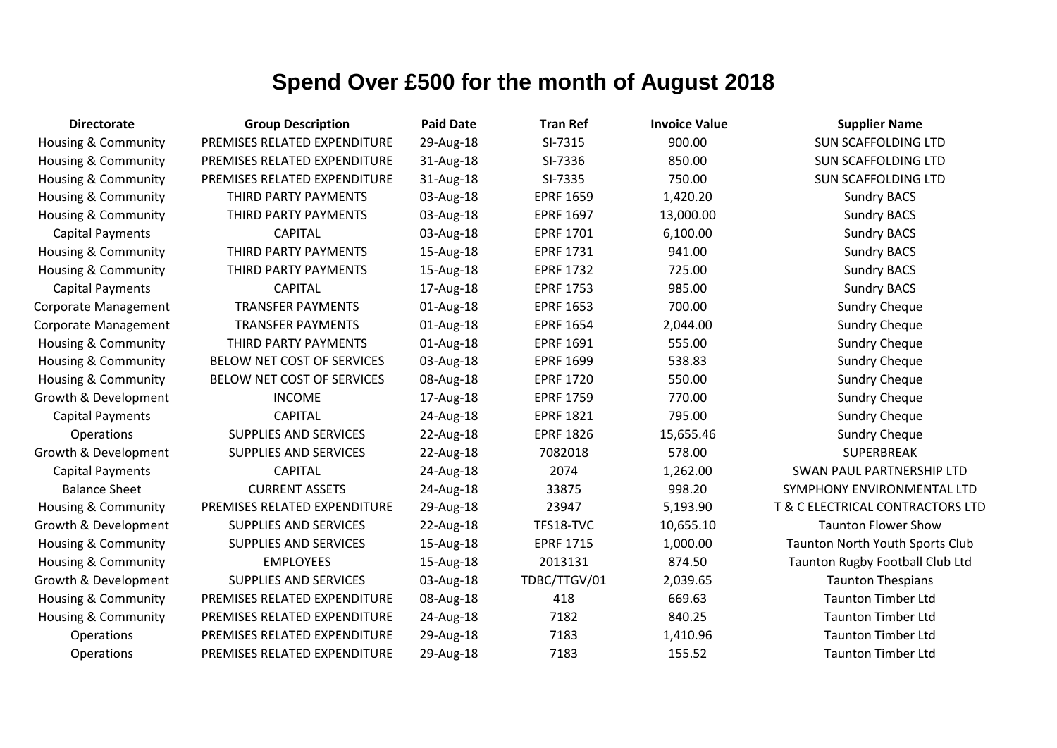| <b>Directorate</b>             | <b>Group Description</b>     | <b>Paid Date</b> | <b>Tran Ref</b>  | <b>Invoice Value</b> | <b>Supplier Name</b>             |
|--------------------------------|------------------------------|------------------|------------------|----------------------|----------------------------------|
| <b>Housing &amp; Community</b> | PREMISES RELATED EXPENDITURE | 29-Aug-18        | SI-7315          | 900.00               | <b>SUN SCAFFOLDING LTD</b>       |
| <b>Housing &amp; Community</b> | PREMISES RELATED EXPENDITURE | 31-Aug-18        | SI-7336          | 850.00               | <b>SUN SCAFFOLDING LTD</b>       |
| <b>Housing &amp; Community</b> | PREMISES RELATED EXPENDITURE | 31-Aug-18        | SI-7335          | 750.00               | <b>SUN SCAFFOLDING LTD</b>       |
| <b>Housing &amp; Community</b> | THIRD PARTY PAYMENTS         | 03-Aug-18        | <b>EPRF 1659</b> | 1,420.20             | <b>Sundry BACS</b>               |
| <b>Housing &amp; Community</b> | THIRD PARTY PAYMENTS         | 03-Aug-18        | <b>EPRF 1697</b> | 13,000.00            | <b>Sundry BACS</b>               |
| <b>Capital Payments</b>        | <b>CAPITAL</b>               | 03-Aug-18        | <b>EPRF 1701</b> | 6,100.00             | <b>Sundry BACS</b>               |
| <b>Housing &amp; Community</b> | THIRD PARTY PAYMENTS         | 15-Aug-18        | <b>EPRF 1731</b> | 941.00               | <b>Sundry BACS</b>               |
| <b>Housing &amp; Community</b> | THIRD PARTY PAYMENTS         | 15-Aug-18        | <b>EPRF 1732</b> | 725.00               | <b>Sundry BACS</b>               |
| <b>Capital Payments</b>        | <b>CAPITAL</b>               | 17-Aug-18        | <b>EPRF 1753</b> | 985.00               | <b>Sundry BACS</b>               |
| <b>Corporate Management</b>    | <b>TRANSFER PAYMENTS</b>     | 01-Aug-18        | <b>EPRF 1653</b> | 700.00               | <b>Sundry Cheque</b>             |
| Corporate Management           | <b>TRANSFER PAYMENTS</b>     | 01-Aug-18        | <b>EPRF 1654</b> | 2,044.00             | <b>Sundry Cheque</b>             |
| <b>Housing &amp; Community</b> | THIRD PARTY PAYMENTS         | 01-Aug-18        | <b>EPRF 1691</b> | 555.00               | <b>Sundry Cheque</b>             |
| <b>Housing &amp; Community</b> | BELOW NET COST OF SERVICES   | 03-Aug-18        | <b>EPRF 1699</b> | 538.83               | <b>Sundry Cheque</b>             |
| <b>Housing &amp; Community</b> | BELOW NET COST OF SERVICES   | 08-Aug-18        | <b>EPRF 1720</b> | 550.00               | <b>Sundry Cheque</b>             |
| Growth & Development           | <b>INCOME</b>                | 17-Aug-18        | <b>EPRF 1759</b> | 770.00               | <b>Sundry Cheque</b>             |
| <b>Capital Payments</b>        | <b>CAPITAL</b>               | 24-Aug-18        | <b>EPRF 1821</b> | 795.00               | <b>Sundry Cheque</b>             |
| Operations                     | <b>SUPPLIES AND SERVICES</b> | 22-Aug-18        | <b>EPRF 1826</b> | 15,655.46            | <b>Sundry Cheque</b>             |
| Growth & Development           | <b>SUPPLIES AND SERVICES</b> | 22-Aug-18        | 7082018          | 578.00               | <b>SUPERBREAK</b>                |
| <b>Capital Payments</b>        | <b>CAPITAL</b>               | 24-Aug-18        | 2074             | 1,262.00             | <b>SWAN PAUL PARTNERSHIP LTD</b> |
| <b>Balance Sheet</b>           | <b>CURRENT ASSETS</b>        | 24-Aug-18        | 33875            | 998.20               | SYMPHONY ENVIRONMENTAL LTD       |
| <b>Housing &amp; Community</b> | PREMISES RELATED EXPENDITURE | 29-Aug-18        | 23947            | 5,193.90             | T & C ELECTRICAL CONTRACTORS LTD |
| Growth & Development           | <b>SUPPLIES AND SERVICES</b> | 22-Aug-18        | TFS18-TVC        | 10,655.10            | <b>Taunton Flower Show</b>       |
| <b>Housing &amp; Community</b> | <b>SUPPLIES AND SERVICES</b> | 15-Aug-18        | <b>EPRF 1715</b> | 1,000.00             | Taunton North Youth Sports Club  |
| <b>Housing &amp; Community</b> | <b>EMPLOYEES</b>             | 15-Aug-18        | 2013131          | 874.50               | Taunton Rugby Football Club Ltd  |
| Growth & Development           | <b>SUPPLIES AND SERVICES</b> | 03-Aug-18        | TDBC/TTGV/01     | 2,039.65             | <b>Taunton Thespians</b>         |
| <b>Housing &amp; Community</b> | PREMISES RELATED EXPENDITURE | 08-Aug-18        | 418              | 669.63               | <b>Taunton Timber Ltd</b>        |
| <b>Housing &amp; Community</b> | PREMISES RELATED EXPENDITURE | 24-Aug-18        | 7182             | 840.25               | <b>Taunton Timber Ltd</b>        |
| Operations                     | PREMISES RELATED EXPENDITURE | 29-Aug-18        | 7183             | 1,410.96             | <b>Taunton Timber Ltd</b>        |
| Operations                     | PREMISES RELATED EXPENDITURE | 29-Aug-18        | 7183             | 155.52               | <b>Taunton Timber Ltd</b>        |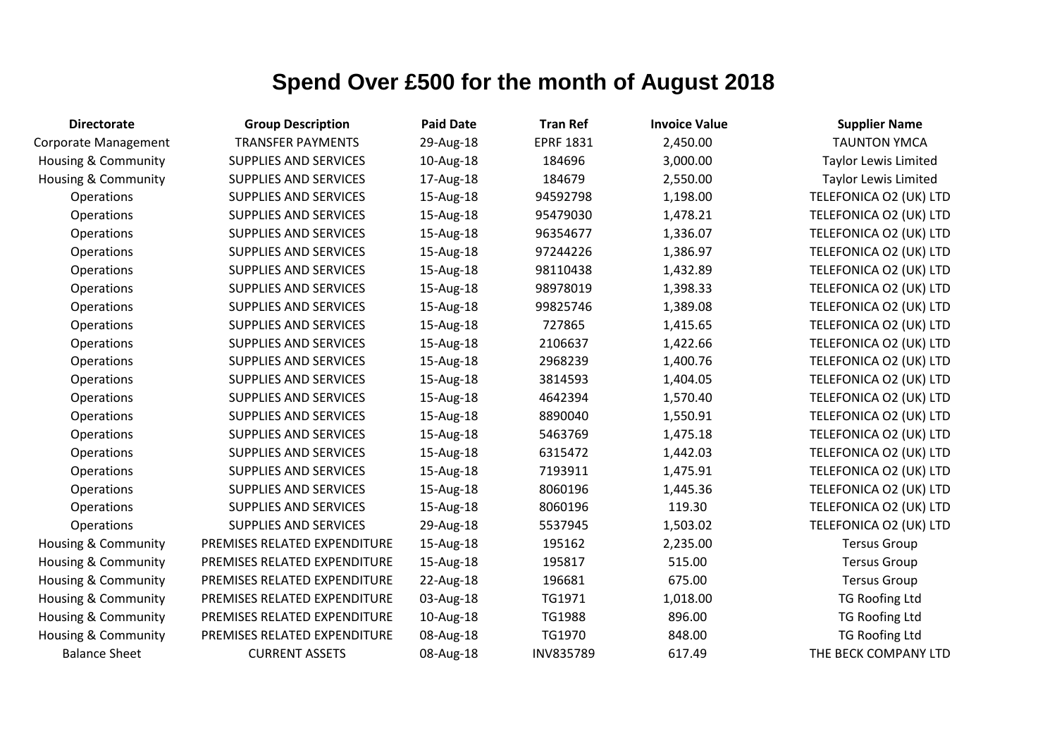| <b>Directorate</b>             | <b>Group Description</b>     | <b>Paid Date</b> | <b>Tran Ref</b>  | <b>Invoice Value</b> | <b>Supplier Name</b>        |
|--------------------------------|------------------------------|------------------|------------------|----------------------|-----------------------------|
| Corporate Management           | <b>TRANSFER PAYMENTS</b>     | 29-Aug-18        | <b>EPRF 1831</b> | 2,450.00             | <b>TAUNTON YMCA</b>         |
| <b>Housing &amp; Community</b> | <b>SUPPLIES AND SERVICES</b> | 10-Aug-18        | 184696           | 3,000.00             | <b>Taylor Lewis Limited</b> |
| <b>Housing &amp; Community</b> | <b>SUPPLIES AND SERVICES</b> | 17-Aug-18        | 184679           | 2,550.00             | <b>Taylor Lewis Limited</b> |
| Operations                     | SUPPLIES AND SERVICES        | 15-Aug-18        | 94592798         | 1,198.00             | TELEFONICA O2 (UK) LTD      |
| Operations                     | SUPPLIES AND SERVICES        | 15-Aug-18        | 95479030         | 1,478.21             | TELEFONICA O2 (UK) LTD      |
| Operations                     | SUPPLIES AND SERVICES        | 15-Aug-18        | 96354677         | 1,336.07             | TELEFONICA O2 (UK) LTD      |
| Operations                     | <b>SUPPLIES AND SERVICES</b> | 15-Aug-18        | 97244226         | 1,386.97             | TELEFONICA O2 (UK) LTD      |
| Operations                     | <b>SUPPLIES AND SERVICES</b> | 15-Aug-18        | 98110438         | 1,432.89             | TELEFONICA O2 (UK) LTD      |
| Operations                     | <b>SUPPLIES AND SERVICES</b> | 15-Aug-18        | 98978019         | 1,398.33             | TELEFONICA O2 (UK) LTD      |
| Operations                     | <b>SUPPLIES AND SERVICES</b> | 15-Aug-18        | 99825746         | 1,389.08             | TELEFONICA O2 (UK) LTD      |
| Operations                     | SUPPLIES AND SERVICES        | 15-Aug-18        | 727865           | 1,415.65             | TELEFONICA O2 (UK) LTD      |
| Operations                     | <b>SUPPLIES AND SERVICES</b> | 15-Aug-18        | 2106637          | 1,422.66             | TELEFONICA O2 (UK) LTD      |
| Operations                     | <b>SUPPLIES AND SERVICES</b> | 15-Aug-18        | 2968239          | 1,400.76             | TELEFONICA O2 (UK) LTD      |
| Operations                     | <b>SUPPLIES AND SERVICES</b> | 15-Aug-18        | 3814593          | 1,404.05             | TELEFONICA O2 (UK) LTD      |
| Operations                     | SUPPLIES AND SERVICES        | 15-Aug-18        | 4642394          | 1,570.40             | TELEFONICA O2 (UK) LTD      |
| Operations                     | <b>SUPPLIES AND SERVICES</b> | 15-Aug-18        | 8890040          | 1,550.91             | TELEFONICA O2 (UK) LTD      |
| Operations                     | <b>SUPPLIES AND SERVICES</b> | 15-Aug-18        | 5463769          | 1,475.18             | TELEFONICA O2 (UK) LTD      |
| Operations                     | <b>SUPPLIES AND SERVICES</b> | 15-Aug-18        | 6315472          | 1,442.03             | TELEFONICA O2 (UK) LTD      |
| Operations                     | <b>SUPPLIES AND SERVICES</b> | 15-Aug-18        | 7193911          | 1,475.91             | TELEFONICA O2 (UK) LTD      |
| Operations                     | <b>SUPPLIES AND SERVICES</b> | 15-Aug-18        | 8060196          | 1,445.36             | TELEFONICA O2 (UK) LTD      |
| Operations                     | <b>SUPPLIES AND SERVICES</b> | 15-Aug-18        | 8060196          | 119.30               | TELEFONICA O2 (UK) LTD      |
| Operations                     | <b>SUPPLIES AND SERVICES</b> | 29-Aug-18        | 5537945          | 1,503.02             | TELEFONICA O2 (UK) LTD      |
| <b>Housing &amp; Community</b> | PREMISES RELATED EXPENDITURE | 15-Aug-18        | 195162           | 2,235.00             | <b>Tersus Group</b>         |
| Housing & Community            | PREMISES RELATED EXPENDITURE | 15-Aug-18        | 195817           | 515.00               | <b>Tersus Group</b>         |
| <b>Housing &amp; Community</b> | PREMISES RELATED EXPENDITURE | 22-Aug-18        | 196681           | 675.00               | <b>Tersus Group</b>         |
| Housing & Community            | PREMISES RELATED EXPENDITURE | 03-Aug-18        | TG1971           | 1,018.00             | <b>TG Roofing Ltd</b>       |
| <b>Housing &amp; Community</b> | PREMISES RELATED EXPENDITURE | 10-Aug-18        | TG1988           | 896.00               | <b>TG Roofing Ltd</b>       |
| Housing & Community            | PREMISES RELATED EXPENDITURE | 08-Aug-18        | TG1970           | 848.00               | <b>TG Roofing Ltd</b>       |
| <b>Balance Sheet</b>           | <b>CURRENT ASSETS</b>        | 08-Aug-18        | INV835789        | 617.49               | THE BECK COMPANY LTD        |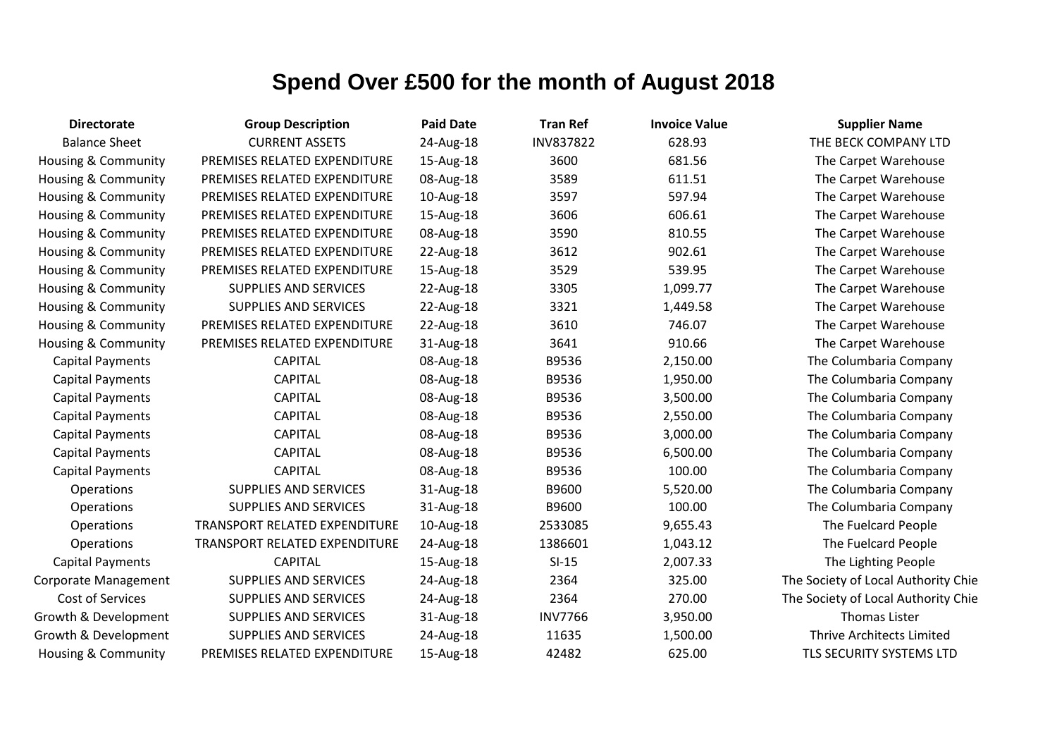| <b>Directorate</b>             | <b>Group Description</b>      | <b>Paid Date</b> | <b>Tran Ref</b> | <b>Invoice Value</b> | <b>Supplier Name</b>                |
|--------------------------------|-------------------------------|------------------|-----------------|----------------------|-------------------------------------|
| <b>Balance Sheet</b>           | <b>CURRENT ASSETS</b>         | 24-Aug-18        | INV837822       | 628.93               | THE BECK COMPANY LTD                |
| Housing & Community            | PREMISES RELATED EXPENDITURE  | 15-Aug-18        | 3600            | 681.56               | The Carpet Warehouse                |
| Housing & Community            | PREMISES RELATED EXPENDITURE  | 08-Aug-18        | 3589            | 611.51               | The Carpet Warehouse                |
| Housing & Community            | PREMISES RELATED EXPENDITURE  | 10-Aug-18        | 3597            | 597.94               | The Carpet Warehouse                |
| Housing & Community            | PREMISES RELATED EXPENDITURE  | 15-Aug-18        | 3606            | 606.61               | The Carpet Warehouse                |
| Housing & Community            | PREMISES RELATED EXPENDITURE  | 08-Aug-18        | 3590            | 810.55               | The Carpet Warehouse                |
| Housing & Community            | PREMISES RELATED EXPENDITURE  | 22-Aug-18        | 3612            | 902.61               | The Carpet Warehouse                |
| Housing & Community            | PREMISES RELATED EXPENDITURE  | 15-Aug-18        | 3529            | 539.95               | The Carpet Warehouse                |
| Housing & Community            | <b>SUPPLIES AND SERVICES</b>  | 22-Aug-18        | 3305            | 1,099.77             | The Carpet Warehouse                |
| Housing & Community            | <b>SUPPLIES AND SERVICES</b>  | 22-Aug-18        | 3321            | 1,449.58             | The Carpet Warehouse                |
| Housing & Community            | PREMISES RELATED EXPENDITURE  | 22-Aug-18        | 3610            | 746.07               | The Carpet Warehouse                |
| Housing & Community            | PREMISES RELATED EXPENDITURE  | 31-Aug-18        | 3641            | 910.66               | The Carpet Warehouse                |
| <b>Capital Payments</b>        | <b>CAPITAL</b>                | 08-Aug-18        | B9536           | 2,150.00             | The Columbaria Company              |
| <b>Capital Payments</b>        | <b>CAPITAL</b>                | 08-Aug-18        | B9536           | 1,950.00             | The Columbaria Company              |
| <b>Capital Payments</b>        | <b>CAPITAL</b>                | 08-Aug-18        | B9536           | 3,500.00             | The Columbaria Company              |
| <b>Capital Payments</b>        | <b>CAPITAL</b>                | 08-Aug-18        | B9536           | 2,550.00             | The Columbaria Company              |
| <b>Capital Payments</b>        | <b>CAPITAL</b>                | 08-Aug-18        | B9536           | 3,000.00             | The Columbaria Company              |
| <b>Capital Payments</b>        | <b>CAPITAL</b>                | 08-Aug-18        | B9536           | 6,500.00             | The Columbaria Company              |
| <b>Capital Payments</b>        | <b>CAPITAL</b>                | 08-Aug-18        | B9536           | 100.00               | The Columbaria Company              |
| Operations                     | <b>SUPPLIES AND SERVICES</b>  | 31-Aug-18        | B9600           | 5,520.00             | The Columbaria Company              |
| Operations                     | <b>SUPPLIES AND SERVICES</b>  | 31-Aug-18        | B9600           | 100.00               | The Columbaria Company              |
| Operations                     | TRANSPORT RELATED EXPENDITURE | 10-Aug-18        | 2533085         | 9,655.43             | The Fuelcard People                 |
| Operations                     | TRANSPORT RELATED EXPENDITURE | 24-Aug-18        | 1386601         | 1,043.12             | The Fuelcard People                 |
| <b>Capital Payments</b>        | <b>CAPITAL</b>                | 15-Aug-18        | $SI-15$         | 2,007.33             | The Lighting People                 |
| <b>Corporate Management</b>    | <b>SUPPLIES AND SERVICES</b>  | 24-Aug-18        | 2364            | 325.00               | The Society of Local Authority Chie |
| Cost of Services               | <b>SUPPLIES AND SERVICES</b>  | 24-Aug-18        | 2364            | 270.00               | The Society of Local Authority Chie |
| Growth & Development           | <b>SUPPLIES AND SERVICES</b>  | 31-Aug-18        | <b>INV7766</b>  | 3,950.00             | Thomas Lister                       |
| Growth & Development           | <b>SUPPLIES AND SERVICES</b>  | 24-Aug-18        | 11635           | 1,500.00             | <b>Thrive Architects Limited</b>    |
| <b>Housing &amp; Community</b> | PREMISES RELATED EXPENDITURE  | 15-Aug-18        | 42482           | 625.00               | TLS SECURITY SYSTEMS LTD            |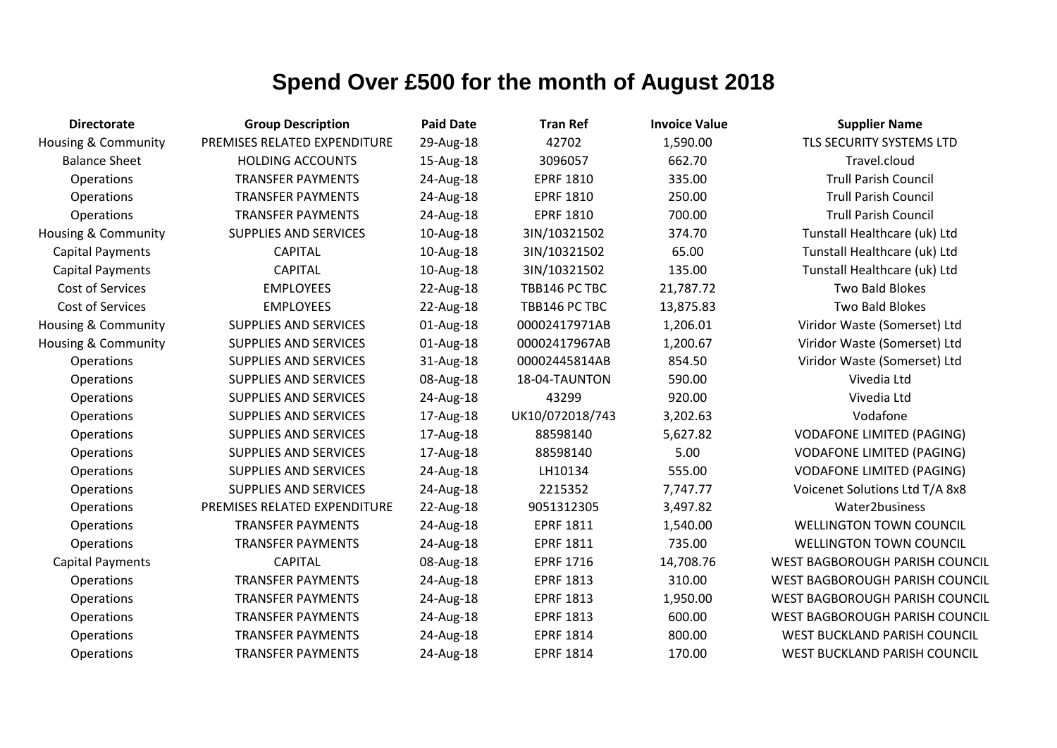| <b>Group Description</b>     | <b>Paid Date</b> | <b>Tran Ref</b>  | <b>Invoice Value</b> | <b>Supplier Name</b>                  |
|------------------------------|------------------|------------------|----------------------|---------------------------------------|
| PREMISES RELATED EXPENDITURE | 29-Aug-18        | 42702            | 1,590.00             | TLS SECURITY SYSTEMS LTD              |
| <b>HOLDING ACCOUNTS</b>      | 15-Aug-18        | 3096057          | 662.70               | Travel.cloud                          |
| <b>TRANSFER PAYMENTS</b>     | 24-Aug-18        | <b>EPRF 1810</b> | 335.00               | <b>Trull Parish Council</b>           |
| <b>TRANSFER PAYMENTS</b>     | 24-Aug-18        | <b>EPRF 1810</b> | 250.00               | <b>Trull Parish Council</b>           |
| <b>TRANSFER PAYMENTS</b>     | 24-Aug-18        | <b>EPRF 1810</b> | 700.00               | <b>Trull Parish Council</b>           |
| <b>SUPPLIES AND SERVICES</b> | 10-Aug-18        | 3IN/10321502     | 374.70               | Tunstall Healthcare (uk) Ltd          |
| <b>CAPITAL</b>               | 10-Aug-18        | 3IN/10321502     | 65.00                | Tunstall Healthcare (uk) Ltd          |
| <b>CAPITAL</b>               | 10-Aug-18        | 3IN/10321502     | 135.00               | Tunstall Healthcare (uk) Ltd          |
| <b>EMPLOYEES</b>             | 22-Aug-18        | TBB146 PC TBC    | 21,787.72            | Two Bald Blokes                       |
| <b>EMPLOYEES</b>             | 22-Aug-18        | TBB146 PC TBC    | 13,875.83            | Two Bald Blokes                       |
| <b>SUPPLIES AND SERVICES</b> | 01-Aug-18        | 00002417971AB    | 1,206.01             | Viridor Waste (Somerset) Ltd          |
| <b>SUPPLIES AND SERVICES</b> | 01-Aug-18        | 00002417967AB    | 1,200.67             | Viridor Waste (Somerset) Ltd          |
| SUPPLIES AND SERVICES        | 31-Aug-18        | 00002445814AB    | 854.50               | Viridor Waste (Somerset) Ltd          |
| <b>SUPPLIES AND SERVICES</b> | 08-Aug-18        | 18-04-TAUNTON    | 590.00               | Vivedia Ltd                           |
| SUPPLIES AND SERVICES        | 24-Aug-18        | 43299            | 920.00               | Vivedia Ltd                           |
| <b>SUPPLIES AND SERVICES</b> | 17-Aug-18        | UK10/072018/743  | 3,202.63             | Vodafone                              |
| <b>SUPPLIES AND SERVICES</b> | 17-Aug-18        | 88598140         | 5,627.82             | <b>VODAFONE LIMITED (PAGING)</b>      |
| SUPPLIES AND SERVICES        | 17-Aug-18        | 88598140         | 5.00                 | <b>VODAFONE LIMITED (PAGING)</b>      |
| <b>SUPPLIES AND SERVICES</b> | 24-Aug-18        | LH10134          | 555.00               | <b>VODAFONE LIMITED (PAGING)</b>      |
| SUPPLIES AND SERVICES        | 24-Aug-18        | 2215352          | 7,747.77             | Voicenet Solutions Ltd T/A 8x8        |
| PREMISES RELATED EXPENDITURE | 22-Aug-18        | 9051312305       | 3,497.82             | Water2business                        |
| <b>TRANSFER PAYMENTS</b>     | 24-Aug-18        | <b>EPRF 1811</b> | 1,540.00             | <b>WELLINGTON TOWN COUNCIL</b>        |
| <b>TRANSFER PAYMENTS</b>     | 24-Aug-18        | <b>EPRF 1811</b> | 735.00               | <b>WELLINGTON TOWN COUNCIL</b>        |
| <b>CAPITAL</b>               | 08-Aug-18        | <b>EPRF 1716</b> | 14,708.76            | WEST BAGBOROUGH PARISH COUNCIL        |
| <b>TRANSFER PAYMENTS</b>     | 24-Aug-18        | <b>EPRF 1813</b> | 310.00               | WEST BAGBOROUGH PARISH COUNCIL        |
| <b>TRANSFER PAYMENTS</b>     | 24-Aug-18        | <b>EPRF 1813</b> | 1,950.00             | WEST BAGBOROUGH PARISH COUNCIL        |
| <b>TRANSFER PAYMENTS</b>     | 24-Aug-18        | <b>EPRF 1813</b> | 600.00               | <b>WEST BAGBOROUGH PARISH COUNCIL</b> |
| <b>TRANSFER PAYMENTS</b>     | 24-Aug-18        | <b>EPRF 1814</b> | 800.00               | WEST BUCKLAND PARISH COUNCIL          |
| <b>TRANSFER PAYMENTS</b>     | 24-Aug-18        | <b>EPRF 1814</b> | 170.00               | WEST BUCKLAND PARISH COUNCIL          |
|                              |                  |                  |                      |                                       |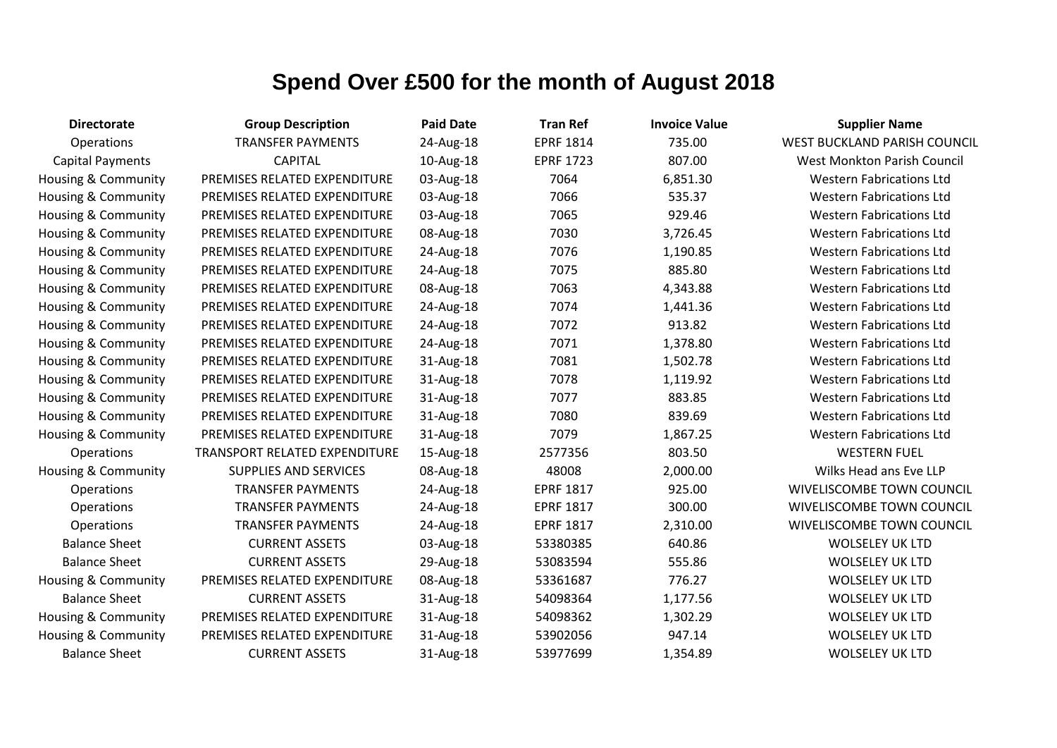| <b>Directorate</b>             | <b>Group Description</b>             | <b>Paid Date</b> | <b>Tran Ref</b>  | <b>Invoice Value</b> | <b>Supplier Name</b>                |
|--------------------------------|--------------------------------------|------------------|------------------|----------------------|-------------------------------------|
| Operations                     | <b>TRANSFER PAYMENTS</b>             | 24-Aug-18        | <b>EPRF 1814</b> | 735.00               | <b>WEST BUCKLAND PARISH COUNCIL</b> |
| <b>Capital Payments</b>        | <b>CAPITAL</b>                       | 10-Aug-18        | <b>EPRF 1723</b> | 807.00               | West Monkton Parish Council         |
| <b>Housing &amp; Community</b> | PREMISES RELATED EXPENDITURE         | 03-Aug-18        | 7064             | 6,851.30             | <b>Western Fabrications Ltd</b>     |
| <b>Housing &amp; Community</b> | PREMISES RELATED EXPENDITURE         | 03-Aug-18        | 7066             | 535.37               | <b>Western Fabrications Ltd</b>     |
| <b>Housing &amp; Community</b> | PREMISES RELATED EXPENDITURE         | 03-Aug-18        | 7065             | 929.46               | <b>Western Fabrications Ltd</b>     |
| <b>Housing &amp; Community</b> | PREMISES RELATED EXPENDITURE         | 08-Aug-18        | 7030             | 3,726.45             | <b>Western Fabrications Ltd</b>     |
| Housing & Community            | PREMISES RELATED EXPENDITURE         | 24-Aug-18        | 7076             | 1,190.85             | <b>Western Fabrications Ltd</b>     |
| Housing & Community            | PREMISES RELATED EXPENDITURE         | 24-Aug-18        | 7075             | 885.80               | <b>Western Fabrications Ltd</b>     |
| <b>Housing &amp; Community</b> | PREMISES RELATED EXPENDITURE         | 08-Aug-18        | 7063             | 4,343.88             | <b>Western Fabrications Ltd</b>     |
| <b>Housing &amp; Community</b> | PREMISES RELATED EXPENDITURE         | 24-Aug-18        | 7074             | 1,441.36             | <b>Western Fabrications Ltd</b>     |
| Housing & Community            | PREMISES RELATED EXPENDITURE         | 24-Aug-18        | 7072             | 913.82               | <b>Western Fabrications Ltd</b>     |
| <b>Housing &amp; Community</b> | PREMISES RELATED EXPENDITURE         | 24-Aug-18        | 7071             | 1,378.80             | <b>Western Fabrications Ltd</b>     |
| Housing & Community            | PREMISES RELATED EXPENDITURE         | 31-Aug-18        | 7081             | 1,502.78             | <b>Western Fabrications Ltd</b>     |
| <b>Housing &amp; Community</b> | PREMISES RELATED EXPENDITURE         | 31-Aug-18        | 7078             | 1,119.92             | <b>Western Fabrications Ltd</b>     |
| <b>Housing &amp; Community</b> | PREMISES RELATED EXPENDITURE         | 31-Aug-18        | 7077             | 883.85               | <b>Western Fabrications Ltd</b>     |
| <b>Housing &amp; Community</b> | PREMISES RELATED EXPENDITURE         | 31-Aug-18        | 7080             | 839.69               | <b>Western Fabrications Ltd</b>     |
| <b>Housing &amp; Community</b> | PREMISES RELATED EXPENDITURE         | 31-Aug-18        | 7079             | 1,867.25             | <b>Western Fabrications Ltd</b>     |
| Operations                     | <b>TRANSPORT RELATED EXPENDITURE</b> | 15-Aug-18        | 2577356          | 803.50               | <b>WESTERN FUEL</b>                 |
| <b>Housing &amp; Community</b> | <b>SUPPLIES AND SERVICES</b>         | 08-Aug-18        | 48008            | 2,000.00             | Wilks Head ans Eve LLP              |
| Operations                     | <b>TRANSFER PAYMENTS</b>             | 24-Aug-18        | <b>EPRF 1817</b> | 925.00               | WIVELISCOMBE TOWN COUNCIL           |
| Operations                     | <b>TRANSFER PAYMENTS</b>             | 24-Aug-18        | <b>EPRF 1817</b> | 300.00               | WIVELISCOMBE TOWN COUNCIL           |
| Operations                     | <b>TRANSFER PAYMENTS</b>             | 24-Aug-18        | <b>EPRF 1817</b> | 2,310.00             | <b>WIVELISCOMBE TOWN COUNCIL</b>    |
| <b>Balance Sheet</b>           | <b>CURRENT ASSETS</b>                | 03-Aug-18        | 53380385         | 640.86               | <b>WOLSELEY UK LTD</b>              |
| <b>Balance Sheet</b>           | <b>CURRENT ASSETS</b>                | 29-Aug-18        | 53083594         | 555.86               | <b>WOLSELEY UK LTD</b>              |
| <b>Housing &amp; Community</b> | PREMISES RELATED EXPENDITURE         | 08-Aug-18        | 53361687         | 776.27               | <b>WOLSELEY UK LTD</b>              |
| <b>Balance Sheet</b>           | <b>CURRENT ASSETS</b>                | 31-Aug-18        | 54098364         | 1,177.56             | <b>WOLSELEY UK LTD</b>              |
| <b>Housing &amp; Community</b> | PREMISES RELATED EXPENDITURE         | 31-Aug-18        | 54098362         | 1,302.29             | <b>WOLSELEY UK LTD</b>              |
| <b>Housing &amp; Community</b> | PREMISES RELATED EXPENDITURE         | 31-Aug-18        | 53902056         | 947.14               | <b>WOLSELEY UK LTD</b>              |
| <b>Balance Sheet</b>           | <b>CURRENT ASSETS</b>                | 31-Aug-18        | 53977699         | 1,354.89             | <b>WOLSELEY UK LTD</b>              |